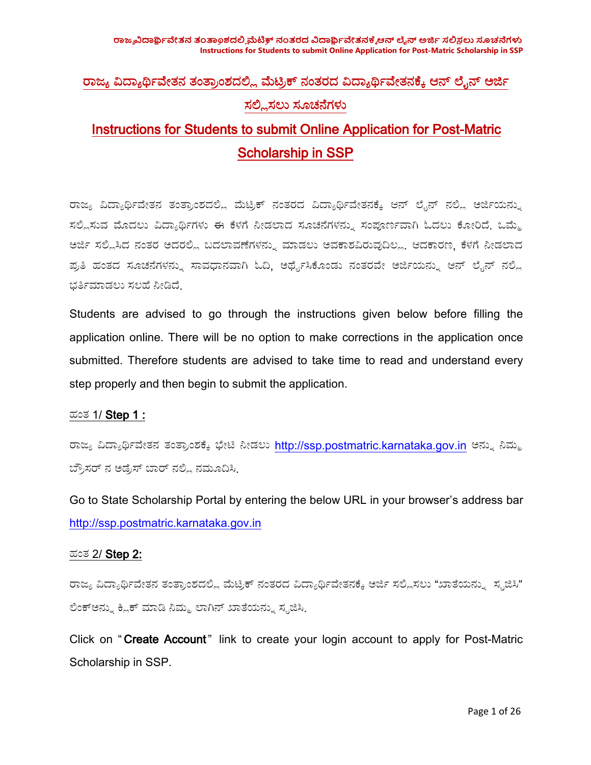**ರಾಜವಿಜ್ಯಾರ್ತಂತ್ರಾಂಶಮೆತ್ನರತಾ ವಿಜ್ಯಾರ್ಥಿಆನ ಲನ ಅರಯ ಸಂಶಸಿಸೂಚನೆ Instructions for Students to submit Online Application for Post-Matric Scholarship in SSP**

# ರಾಜ್ಯ ವಿದ್ಯಾರ್ಥಿವೇತನ ತಂತ್ರಾಂಶದಲ್ಲಿ ಮೆಟ್ರಿಕ್ ನಂತರದ ವಿದ್ಯಾರ್ಥಿವೇತನಕ್ಕೆ ಆನ್ ಲೈನ್ ಅರ್ಜಿ ಸಲ್ಲಿಸಲು ಸೂಚನೆಗಳು Instructions for Students to submit Online Application for Post-Matric

Scholarship in SSP

ರಾಜ್ಯ ವಿದ್ಯಾರ್ಥಿವೇತನ ತಂತ್ರಾಂಶದಲ್ಲಿ ಮೆಟ್ರಿಕ್ ನಂತರದ ವಿದ್ಯಾರ್ಥಿವೇತನಕ್ಕೆ ಆನ್ ಲೈನ್ ನಲ್ಲಿ ಅರ್ಜಿಯನ್ನು ಸಲ್ಲಿಸುವ ಮೊದಲು ವಿದ್ಯಾರ್ಥಿಗಳು ಈ ಕೆಳಗೆ ನೀಡಲಾದ ಸೂಚನೆಗಳನ್ನು ಸಂಪೂರ್ಣವಾಗಿ ಓದಲು ಕೋರಿದೆ. ಒಮ್ಮೆ ಅರ್ಜಿ ಸಲ್ಲಿಸಿದ ನಂತರ ಅದರಲ್ಲಿ ಬದಲಾವಣೆಗಳನ್ನು ಮಾಡಲು ಅವಕಾಶವಿರುವುದಿಲ್ಲ. ಆದಕಾರಣ, ಕೆಳಗೆ ನೀಡಲಾದ ಪ್ರತಿ ಹಂತದ ಸೂಚನೆಗಳನ್ನು ಸಾವಧಾನವಾಗಿ ಓದಿ, ಅರ್ಥೈಸಿಕೊಂಡು ನಂತರವೇ ಅರ್ಜಿಯನ್ನು ಆನ್ ಲೈನ್ ನಲ್ಲಿ ಭರ್ತಿಮಾಡಲು ಸಲಹೆ ನೀಡಿದೆ.

Students are advised to go through the instructions given below before filling the application online. There will be no option to make corrections in the application once submitted. Therefore students are advised to take time to read and understand every step properly and then begin to submit the application.<br>ಹಂತ 1/ Step 1 :

ರಾಜ್ಯ ವಿದ್ಯಾರ್ಥಿವೇತನ ತಂತ್ರಾಂಶಕ್ಕೆ ಭೇಟಿ ನೀಡಲು <http://ssp.postmatric.karnataka.gov.in> ಅನ್ನು ನಿಮ್ಮ ಬ್ರೌಸರ್ ನ ಅಡ್ರೆಸ್ ಬಾರ್ ನಲ್ಲಿ ನಮೂದಿಸಿ

Go to State Scholarship Portal by entering the below URL in your browser's address bar <http://ssp.postmatric.karnataka.gov.in>

#### ಹಂಥ 2/ Step 2:

ರಾಜ್ಯ ವಿದ್ಯಾರ್ಥಿವೇತನ ತಂತ್ರಾಂಶದಲ್ಲಿ ಮೆಟ್ರಿಕ್ ನಂತರದ ವಿದ್ಯಾರ್ಥಿವೇತನಕ್ಕೆ ಅರ್ಜಿ ಸಲ್ಲಿಸಲು "ಖಾತೆಯನ್ನು ಸೃಜಿಸಿ" ಲಿಂಕ್ಅನ್ನು ಕ್ಲಿಕ್ ಮಾಡಿ ನಿಮ್ಮ ಲಾಗಿನ್ ಖಾತೆಯನ್ನು ಸೃಜಿಸಿ

Click on " Create Account" link to create your login account to apply for Post-Matric Scholarship in SSP.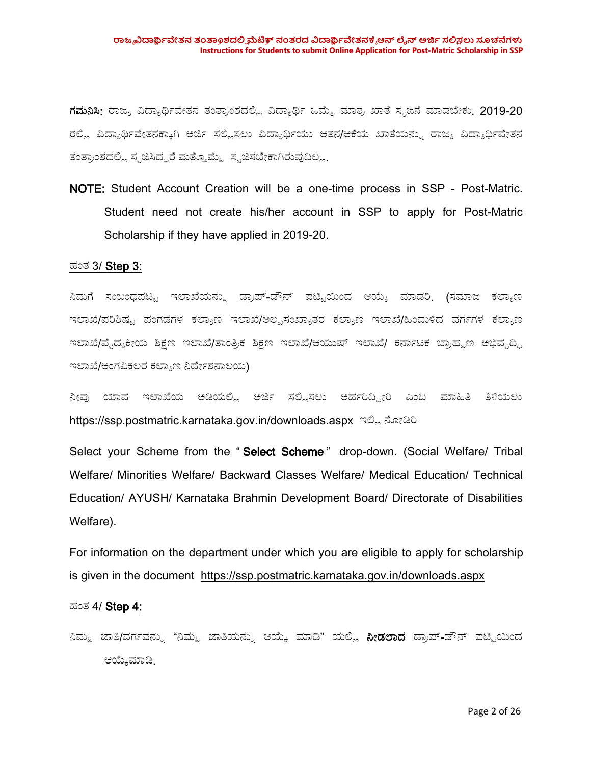ಗಮನಿಸಿ: ರಾಜ್ಯ ವಿದ್ಯಾರ್ಥಿವೇತನ ತಂತ್ರಾಂಶದಲ್ಲಿ ವಿದ್ಯಾರ್ಥಿ ಒಮ್ಮೆ ಮಾತ್ರ ಖಾತೆ ಸೃಜನೆ ಮಾಡಬೇಕು. 2019-20 ರಲ್ಲಿ ವಿದ್ಯಾರ್ಥಿವೇತನಕ್ಕಾಗಿ ಅರ್ಜಿ ಸಲ್ಲಿಸಲು ವಿದ್ಯಾರ್ಥಿಯು ಆತನ/ಆಕೆಯ ಖಾತೆಯನ್ನು ರಾಜ್ಯ ವಿದ್ಯಾರ್ಥಿವೇತನ ತಂತ್ರಾಂಶದಲ್ಲಿ ಸೃಜಿಸಿದ್ದರೆ ಮತ್ತೊಮ್ಮೆ ಸೃಜಿಸಬೇಕಾಗಿರುವುದಿಲ್ಲ.

NOTE: Student Account Creation will be a one-time process in SSP - Post-Matric. Student need not create his/her account in SSP to apply for Post-Matric Scholarship if they have applied in 2019-20.<br>ಹಂತ 3/ Step 3:

ನಿಮಗೆ ಸಂಬಂಧಪಟ್ಟ ಇಲಾಖೆಯನ್ನು ಡ್ರಾಪ್-ಡೌನ್ ಪಟ್ಟಿಯಿಂದ ಆಯ್ಕೆ ಮಾಡರಿ. (ಸಮಾಜ ಕಲ್ಯಾಣ ಇಲಾಖೆ/ಪರಿಶಿಷ್ಟ ಪಂಗಡಗಳ ಕಲ್ಯಾಣ ಇಲಾಖೆ/ಅಲ್ಪಸಂಖ್ಯಾತರ ಕಲ್ಯಾಣ ಇಲಾಖೆ/ಹಿಂದುಳಿದ ವರ್ಗಗಳ ಕಲ್ಯಾಣ ಇಲಾಖೆ/ವೈದ್ಯಕೀಯ ಶಿಕ್ಷಣ ಇಲಾಖೆ/ತಾಂತ್ರಿಕ ಶಿಕ್ಷಣ ಇಲಾಖೆ/ಆಯುಷ್ ಇಲಾಖೆ/ ಕರ್ನಾಟಕ ಬ್ರಾಹ್ಮಣ ಅಭಿವೃದ್ಧಿ ಇಲಾಖೆ/ಅಂಗವಿಕಲರ ಕಲ್ಯಾಣ ನಿರ್ದೇಶನಾಲಯ)

ನೀವು ಯಾವ ಇಲಾಖೆಯ ಅಡಿಯಲ್ಲಿ ಅರ್ಜಿ ಸಲ್ಲಿಸಲು ಅರ್ಹರಿದ್ದೀರಿ ಎಂಬ ಮಾಹಿತಿ ತಿಳಿಯಲು <https://ssp.postmatric.karnataka.gov.in/downloads.aspx> ಇಲ್ಲಿ ನೋಡಿರಿ

Select your Scheme from the "Select Scheme" drop-down. (Social Welfare/ Tribal Welfare/ Minorities Welfare/ Backward Classes Welfare/ Medical Education/ Technical Education/ AYUSH/ Karnataka Brahmin Development Board/ Directorate of Disabilities Welfare).

For information on the department under which you are eligible to apply for scholarship is given in the document <https://ssp.postmatric.karnataka.gov.in/downloads.aspx>

#### ಹಂಥ 4/ Step 4:

ನಿಮ್ಮ ಜಾತಿ/ವರ್ಗವನ್ನು "ನಿಮ್ಮ ಜಾತಿಯನ್ನು ಆಯ್ಕೆ ಮಾಡಿ" ಯಲ್ಲಿ **ನೀಡಲಾದ** ಡ್ರಾಪ್-ಡೌನ್ ಪಟ್ಟಿಯಿಂದ ಆಯೇಮಾಡ.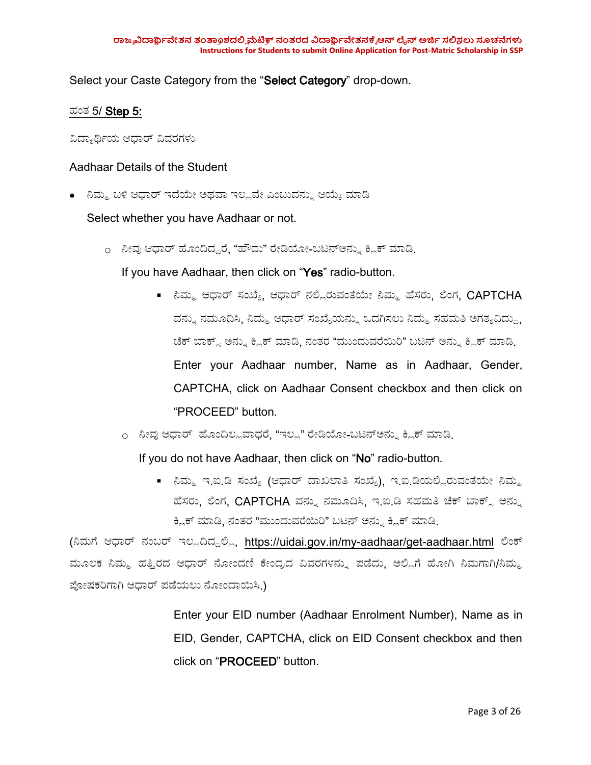Select your Caste Category from the "Select Category" drop-down.

### ಹಂಥ 5/ Step 5:

ವಿದ್ಯಾರ್ಥಿಯ ಆಧಾರ್ ವಿವರಗಳು

#### Aadhaar Details of the Student

• ನಿಮ್ಮ ಬಳಿ ಆಧಾರ್ ಇದೆಯೇ ಅಥವಾ ಇಲ್ಲವೇ ಎಂಬುದನ್ನು ಆಯ್ಕೆ ಮಾಡಿ

Select whether you have Aadhaar or not.

o ನೀವು ಆಧಾರ್ ಹೊಂದಿದ್ದರೆ. "ಹೌದು" ರೇಡಿಯೋ-ಬಟನ್ಅನ್ನು ಕ್ಲಿಕ್ ಮಾಡಿ

If you have Aadhaar, then click on "Yes" radio-button.

- ನಿಮ್ಮ ಆಧಾರ್ ಸಂಖ್ಯೆ, ಆಧಾರ್ ನಲ್ಲಿರುವಂತೆಯೇ ನಿಮ್ಮ ಹೆಸರು, ಲಿಂಗ,  $\mathsf{CAPTCHA}$ ವನ್ನು ನಮೂದಿಸಿ, ನಿಮ್ಮ ಆಧಾರ್ ಸಂಖ್ಯೆಯನ್ನು ಒದಗಿಸಲು ನಿಮ್ಮ ಸಹಮತಿ ಅಗತ್ಯವಿದ್ದು, ಚೆಕ್ ಬಾಕ್ಸ್ ಅನ್ನು ಕ್ಲಿಕ್ ಮಾಡಿ, ನಂತರ "ಮುಂದುವರೆಯಿರಿ" ಬಟನ್ ಅನ್ನು ಕ್ಲಿಕ್ ಮಾಡಿ. Enter your Aadhaar number, Name as in Aadhaar, Gender, CAPTCHA, click on Aadhaar Consent checkbox and then click on "PROCEED" button.
- o ನೀವು ಆಧಾರ್ ಹೊಂದಿಲ್ಲವಾಧರೆ, "ಇಲ್ಲ" ರೇಡಿಯೋ-ಬಟನ್ಅನ್ನು ಕ್ಲಿಕ್ ಮಾಡಿ

If you do not have Aadhaar, then click on "No" radio-button.

■ ನಿಮ್ಮ ಇ.ಐ.ಡಿ ಸಂಖ್ಯೆ (ಆಧಾರ್ ದಾಖಲಾತಿ ಸಂಖ್ಯೆ), ಇ.ಐ.ಡಿಯಲ್ಲಿರುವಂತೆಯೇ ನಿಮ್ಮ ಹೆಸರು, ಲಿಂಗ, CAPTCHA ವನ್ನು ನಮೂದಿಸಿ, ಇ.ಐ.ಡಿ ಸಹಮತಿ ಚೆಕ್ ಬಾಕ್ಸ್ ಅನ್ನು ಕ್ಲಿಕ್ ಮಾಡಿ, ನಂತರ "ಮುಂದುವರೆಯಿರಿ" ಬಟನ್ ಅನ್ನು ಕ್ಲಿಕ್ ಮಾಡಿ.

(ನಿಮಗೆ ಆಧಾರ್ ನಂಬರ್ ಇಲ್ಲದಿದ್ದಲ್ಲಿ, <https://uidai.gov.in/my-aadhaar/get-aadhaar.html> ಲಿಂಕ್ ಮೂಲಕ ನಿಮ್ಮ ಹತ್ತಿರದ ಆಧಾರ್ ನೋಂದಣಿ ಕೇಂದ್ರದ ವಿವರಗಳನ್ನು ಪಡೆದು, ಅಲ್ಲಿಗೆ ಹೋಗಿ ನಿಮಗಾಗಿ/ನಿಮ್ಮ ಪೋಷಕರಿಗಾಗಿ ಆಧಾರ್ ಪಡೆಯಲು ನೋಂದಾಯಿಸಿ.)

> Enter your EID number (Aadhaar Enrolment Number), Name as in EID, Gender, CAPTCHA, click on EID Consent checkbox and then click on "PROCEED" button.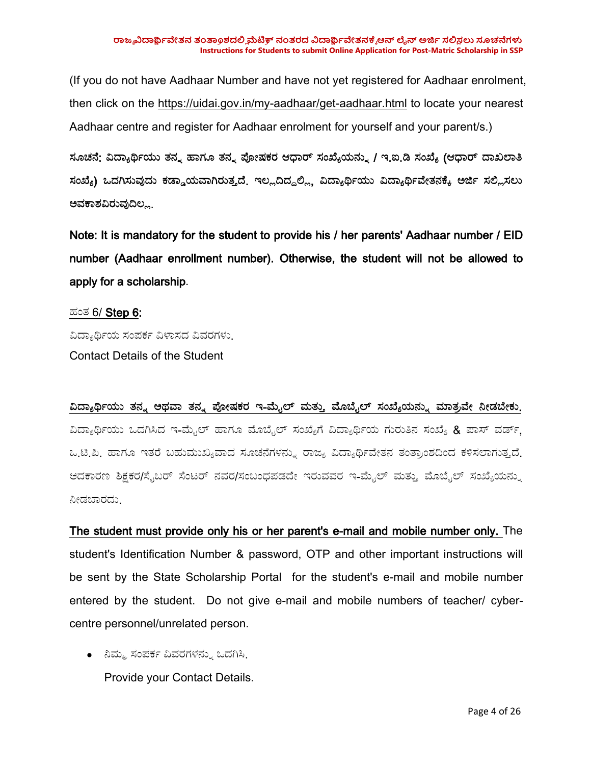(If you do not have Aadhaar Number and have not yet registered for Aadhaar enrolment, then click on the <https://uidai.gov.in/my-aadhaar/get-aadhaar.html> to locate your nearest Aadhaar centre and register for Aadhaar enrolment for yourself and your parent/s.)

ಸೂಚನೆ: ವಿದ್ಯಾರ್ಥಿಯು ತನ್ನ ಹಾಗೂ ತನ್ನ ಪೋಷಕರ ಆಧಾರ್ ಸಂಖ್ಯೆಯನ್ನು / ಇ.ಐ.ಡಿ ಸಂಖ್ಯೆ (ಆಧಾರ್ ದಾಖಲಾತಿ ಸಂಖ್ಯೆ) ಒದಗಿಸುವುದು ಕಡ್ಡಾಯವಾಗಿರುತ್ತದೆ. ಇಲ್ಲದಿದ್ದಲ್ಲಿ, ವಿದ್ಯಾರ್ಥಿಯು ವಿದ್ಯಾರ್ಥಿವೇತನಕ್ಕೆ ಅರ್ಜಿ ಸಲ್ಲಿಸಲು ಅವಕಾಶವಿರುವುದಿಲ್ಲ.

Note: It is mandatory for the student to provide his / her parents' Aadhaar number / EID number (Aadhaar enrollment number). Otherwise, the student will not be allowed to apply for a scholarship.

#### ಹಂಥ 6/ Step 6:

ವಿದ್ಯಾರ್ಥಿಯ ಸಂಪರ್ಕ ವಿಳಾಸದ ವಿವರಗಳು. Contact Details of the Student

## ವಿದ್ಯಾರ್ಥಿಯು ತನ್ನ ಅಥವಾ ತನ್ನ ಪೋಷಕರ ಇ-ಮೈಲ್ ಮತ್ತು ಮೊಬೈಲ್ ಸಂಖ್ಯೆಯನ್ನು ಮಾತ್ರವೇ ನೀಡಬೇಕು. ವಿದ್ಯಾರ್ಥಿಯು ಒದಗಿಸಿದ ಇ-ಮೈಲ್ ಹಾಗೂ ಮೊಬೈಲ್ ಸಂಖ್ಯೆಗೆ ವಿದ್ಯಾರ್ಥಿಯ ಗುರುತಿನ ಸಂಖ್ಯೆ & ಪಾಸ್ ವರ್ಡ್, ಒ.ಟಿ.ಪಿ. ಹಾಗೂ ಇತರೆ ಬಹುಮುಖ್ಯವಾದ ಸೂಚನೆಗಳನ್ನು ರಾಜ್ಯ ವಿದ್ಯಾರ್ಥಿವೇತನ ತಂತ್ರಾಂಶದಿಂದ ಕಳಿಸಲಾಗುತ್ತದೆ. ಆದಕಾರಣ ಶಿಕ್ಷಕರ/ಸೈಬರ್ ಸೆಂಟರ್ ನವರ/ಸಂಬಂಧಪಡದೇ ಇರುವವರ ಇ-ಮೈಲ್ ಮತ್ತು ಮೊಬೈಲ್ ಸಂಖ್ಯೆಯನ್ನು ನೀಡಬಾರದು.

The student must provide only his or her parent's e-mail and mobile number only. The student's Identification Number & password, OTP and other important instructions will be sent by the State Scholarship Portal for the student's e-mail and mobile number entered by the student. Do not give e-mail and mobile numbers of teacher/ cyber centre personnel/unrelated person.

• ನಿಮ್ಮ ಸಂಪರ್ಕ ವಿವರಗಳನ್ನು ಒದಗಿಸಿ. Provide your Contact Details.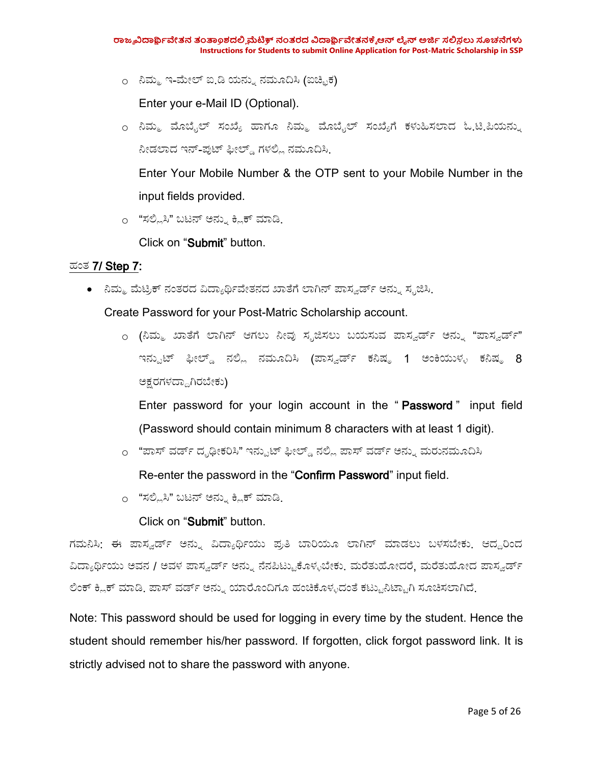o ನಿಮ್ಮ ಇ-ಮೇಲ್ ಐ.ಡಿ ಯನ್ನು ನಮೂದಿಸಿ (ಐಚ್ಛಿಕ)

Enter your e-Mail ID (Optional).

o ನಿಮ್ಮ ಮೊಬೈಲ್ ಸಂಖ್ಯೆ ಹಾಗೂ ನಿಮ್ಮ ಮೊಬೈಲ್ ಸಂಖ್ಯೆಗೆ ಕಳುಹಿಸಲಾದ ಓ<u>.ಟಿ.</u>ಪಿಯನ್ನು ನೀಡಲಾದ ಇನ್-ಪುಟ್ ಫೀಲ್ಡ್ ಗಳಲ್ಲಿ ನಮೂದಿಸಿ.

Enter Your Mobile Number & the OTP sent to your Mobile Number in the input fields provided.

o "ಸಲ್ಲಿಸಿ" ಬಟನ್ ಅನ್ನು ಕ್ಲಿಕ್ ಮಾಡಿ.

Click on "Submit" button.

#### ಹಂಥ 7/ Step 7:

∙ ನಿಮ್ಮ ಮೆಟ್ರಿಕ್ ನಂತರದ ವಿದ್ಯಾರ್ಥಿವೇತನದ ಖಾತೆಗೆ ಲಾಗಿನ್ ಪಾಸ್ವರ್ಡ್ ಅನ್ನು ಸ್ಪಜಿಸಿ.

Create Password for your Post-Matric Scholarship account.

o (ನಿಮ್ಮ ಖಾತೆಗೆ ಲಾಗಿನ್ ಆಗಲು ನೀವು ಸ್ಪಜಿಸಲು ಬಯಸುವ ಪಾಸ್ವರ್ಡ್ ಅನ್ನು "ಪಾಸ್ವರ್ಡ್" ಇನ್ಪುಟ್ ಫೀಲ್ಡ್ ನಲ್ಲಿ ನಮೂದಿಸಿ (ಪಾಸ್ವರ್ಡ್ ಕನಿಷ್ಠ 1 ಅಂಕಿಯುಳ್ಳ ಕನಿಷ್ಠ 8 ಅಕ್ಷರಗಳದ್ದಾಗಿರಬೇಕು)

Enter password for your login account in the "Password" input field (Password should contain minimum 8 characters with at least 1 digit).

o "ಪಾಸ್ ವರ್ಡ್ ದೃಢೀಕರಿಸಿ" ಇನ್ಪುಟ್ ಫೀಲ್ಡ್ ನಲ್ಲಿ ಪಾಸ್ ವರ್ಡ್ ಅನ್ನು ಮರುನಮೂದಿಸಿ

Re-enter the password in the "Confirm Password" input field.

o "ಸಲ್ಲಿಸಿ" ಬಟನ್ ಅನ್ನು ಕ್ಲಿಕ್ ಮಾಡಿ.

Click on "Submit" button.

ಗಮನಿಸಿ: ಈ ಪಾಸ್ವರ್ಡ್ ಅನ್ನು ವಿದ್ಯಾರ್ಥಿಯು ಪ್ರತಿ ಬಾರಿಯೂ ಲಾಗಿನ್ ಮಾಡಲು ಬಳಸಬೇಕು. ಆದ್ದರಿಂದ ವಿದ್ಯಾರ್ಥಿಯು ಅವನ / ಅವಳ ಪಾಸ್ವರ್ಡ್ ಅನ್ನು ನೆನಪಿಟ್ಟುಕೊಳ್ಳಬೇಕು. ಮರೆತುಹೋದರೆ, ಮರೆತುಹೋದ ಪಾಸ್ವರ್ಡ್ ಲಿಂಕ್ ಕ್ಲಿಕ್ ಮಾಡಿ. ಪಾಸ್ ವರ್ಡ್ ಅನ್ನು ಯಾರೊಂದಿಗೂ ಹಂಚಿಕೊಳ್ಳದಂತೆ ಕಟ್ಟುನಿಟ್ಟಾಗಿ ಸೂಚಿಸಲಾಗಿದೆ.

Note: This password should be used for logging in every time by the student. Hence the student should remember his/her password. If forgotten, click forgot password link. It is strictly advised not to share the password with anyone.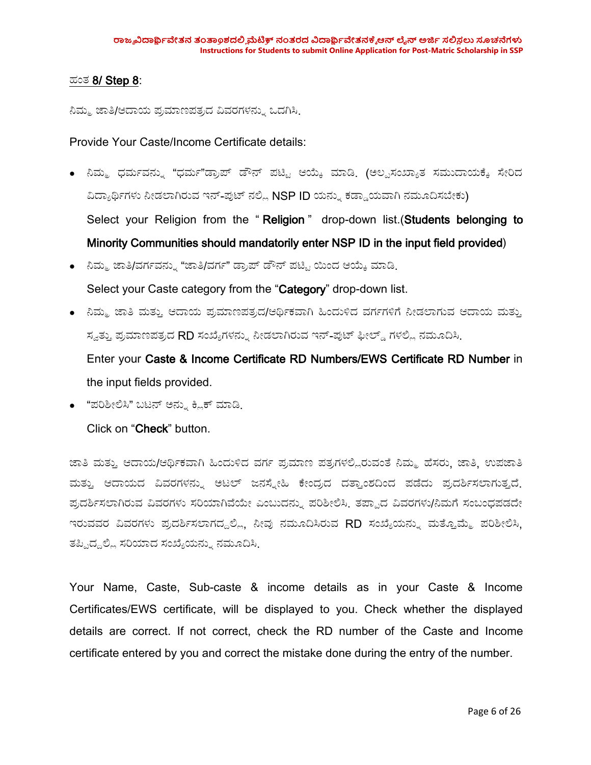#### ಹಂಥ 8/ Step 8:

ನಿಮ್ಮ ಜಾತಿ/ಆದಾಯ ಪ್ರಮಾಣಪತ್ರದ ವಿವರಗಳನ್ನು ಒದಗಿಸಿ.

Provide Your Caste/Income Certificate details:

- ನಿಮ್ಮ ಧರ್ಮವನ್ನು "ಧರ್ಮ"ಡ್ರಾಪ್ ಡೌನ್ ಪಟ್ಟಿ ಆಯ್ಕೆ ಮಾಡಿ. (ಅಲ್ಪಸಂಖ್ಯಾತ ಸಮುದಾಯಕ್ಕೆ ಸೇರಿದ ವಿದ್ಯಾರ್ಥಿಗಳು ನೀಡಲಾಗಿರುವ ಇನ್-ಪುಟ್ ನಲ್ಲಿ NSP ID ಯನ್ನು ಕಡ್ಡಾಯವಾಗಿ ನಮೂದಿಸಬೇಕು) Select your Religion from the "Religion" drop-down list. (Students belonging to Minority Communities should mandatorily enter NSP ID in the input field provided)
- ನಿಮ್ಮ ಜಾತಿ/ವರ್ಗವನ್ನು "ಜಾತಿ/ವರ್ಗ" ಡ್ರಾಪ್ ಡೌನ್ ಪಟ್ಟಿ ಯಿಂದ ಆಯ್ಕೆ ಮಾಡಿ. Select your Caste category from the "Category" drop-down list.
- ನಿಮ್ಮ ಜಾತಿ ಮತ್ತು ಆದಾಯ ಪ್ರಮಾಣಪತ್ರದ/ಆರ್ಥಿಕವಾಗಿ ಹಿಂದುಳಿದ ವರ್ಗಗಳಿಗೆ ನೀಡಲಾಗುವ ಆದಾಯ ಮತ್ತು ಸ್ವತ್ತು ಪ್ರಮಾಣಪತ್ರದ RD ಸಂಖ್ಯೆಗಳನ್ನು ನೀಡಲಾಗಿರುವ ಇನ್-ಪುಟ್ ಫೀಲ್ಡ್ ಗಳಲ್ಲಿ ನಮೂದಿಸಿ. Enter your Caste & Income Certificate RD Numbers/EWS Certificate RD Number in the input fields provided.
- "ಪರಿಶೀಲಿಸಿ" ಬಟನ್ ಅನ್ನು ಕ್ಲಿಕ್ ಮಾಡಿ.

Click on "Check" button.

ಜಾತಿ ಮತ್ತು ಆದಾಯ/ಆರ್ಥಿಕವಾಗಿ ಹಿಂದುಳಿದ ವರ್ಗ ಪ್ರಮಾಣ ಪತ್ರಗಳಲ್ಲಿರುವಂತೆ ನಿಮ್ಮ ಹೆಸರು. ಜಾತಿ. ಉಪಜಾತಿ ಮತ್ತು ಆದಾಯದ ವಿವರಗಳನ್ನು ಅಟಲ್ ಜನಸ್ನೇಹಿ ಕೇಂದ್ರದ ದತ್ತಾಂಶದಿಂದ ಪಡೆದು ಪ್ರದರ್ಶಿಸಲಾಗುತ್ತದೆ. ಪ್ರದರ್ಶಿಸಲಾಗಿರುವ ವಿವರಗಳು ಸರಿಯಾಗಿವೆಯೇ ಎಂಬುದನ್ನು ಪರಿಶೀಲಿಸಿ. ತಪ್ಪಾದ ವಿವರಗಳು/ನಿಮಗೆ ಸಂಬಂಧಪಡದೇ ಇರುವವರ ವಿವರಗಳು ಪ್ರದರ್ಶಿಸಲಾಗದ್ದಲ್ಲಿ, ನೀವು ನಮೂದಿಸಿರುವ RD ಸಂಖ್ಯೆಯನ್ನು ಮತ್ತೊಮ್ಮೆ ಪರಿಶೀಲಿಸಿ, ತಪ್ಪಿದ್ದಲ್ಲಿ ಸರಿಯಾದ ಸಂಖ್ಯೆಯನ್ನು ನಮೂದಿಸಿ.

Your Name, Caste, Sub-caste & income details as in your Caste & Income Certificates/EWS certificate, will be displayed to you. Check whether the displayed details are correct. If not correct, check the RD number of the Caste and Income certificate entered by you and correct the mistake done during the entry of the number.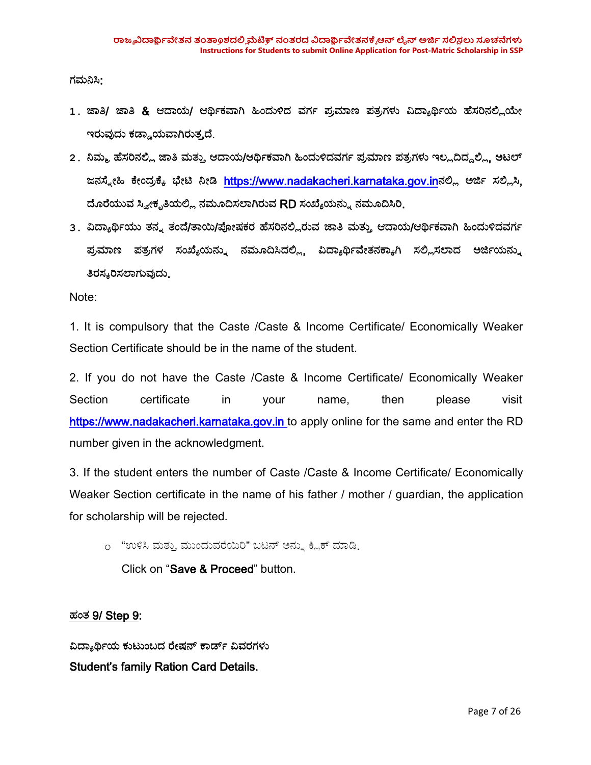ಗಮನಿಸಿ:

- 1. ಜಾತಿ/ ಜಾತಿ & ಆದಾಯ/ ಆರ್ಥಿಕವಾಗಿ ಹಿಂದುಳಿದ ವರ್ಗ ಪ್ರಮಾಣ ಪತ್ರಗಳು ವಿದ್ಯಾರ್ಥಿಯ ಹೆಸರಿನಲ್ಲಿಯೇ ಇರುವುದು ಕಡ್ಡಾಯವಾಗಿರುತ್ತದೆ.
- 2 . ನಿಮ್ಮ ಹೆಸರಿನಲ್ಲಿ ಜಾತಿ ಮತ್ತು ಆದಾಯ/ಆರ್ಥಿಕವಾಗಿ ಹಿಂದುಳಿದವರ್ಗ ಪ್ರಮಾಣ ಪತ್ರಗಳು ಇಲ್ಲದಿದ್ದಲ್ಲಿ, ಅಟಲ್ ಜನಸ್ನೇಹಿ ಕೇಂದ್ರಕ್ಕೆ ಭೇಟಿ ನೀಡಿ <https://www.nadakacheri.karnataka.gov.in>ನಲ್ಲಿ ಅರ್ಜಿ ಸಲ್ಲಿಸಿ. ದೊರೆಯುವ ಸ್ವೀಕೃತಿಯಲ್ಲಿ ನಮೂದಿಸಲಾಗಿರುವ RD ಸಂಖ್ಯೆಯನ್ನು ನಮೂದಿಸಿರಿ.
- 3. ವಿದ್ಯಾರ್ಥಿಯು ತನ್ನ ತಂದೆ/ತಾಯಿ/ಪೋಷಕರ ಹೆಸರಿನಲ್ಲಿರುವ ಜಾತಿ ಮತ್ತು ಆದಾಯ/ಆರ್ಥಿಕವಾಗಿ ಹಿಂದುಳಿದವರ್ಗ ಪ್ರಮಾಣ ಪತ್ರಗಳ ಸಂಖ್ಯೆಯನ್ನು ನಮೂದಿಸಿದಲ್ಲಿ, ವಿದ್ಯಾರ್ಥಿವೇತನಕ್ಕಾಗಿ ಸಲ್ಲಿಸಲಾದ ಅರ್ಜಿಯನ್ನು ತಿರಸ್ಕರಿಸಲಾಗುವುದು.

Note:

1. It is compulsory that the Caste /Caste & Income Certificate/Economically Weaker Section Certificate should be in the name of the student.

2. If you do not have the Caste /Caste & Income Certificate/Economically Weaker Section certificate in your name, then please visit <https://www.nadakacheri.karnataka.gov.in> to apply online for the same and enter the RD number given in the acknowledgment.

3. If the student enters the number of Caste /Caste & Income Certificate/ Economically Weaker Section certificate in the name of his father / mother / guardian, the application for scholarship will be rejected.

o "ಉಳಿಸಿ ಮತ್ತು ಮುಂದುವರೆಯಿರಿ" ಬಟನ್ ಅನ್ನು ಕ್ಲಿಕ್ ಮಾಡಿ.

Click on "Save & Proceed" button.

ಹಂಥ 9/ Step 9:

ವಿದ್ಯಾರ್ಥಿಯ ಕುಟುಂಬದ ರೇಷನ್ ಕಾರ್ಡ್ ವಿವರಗಳು Student's family Ration Card Details.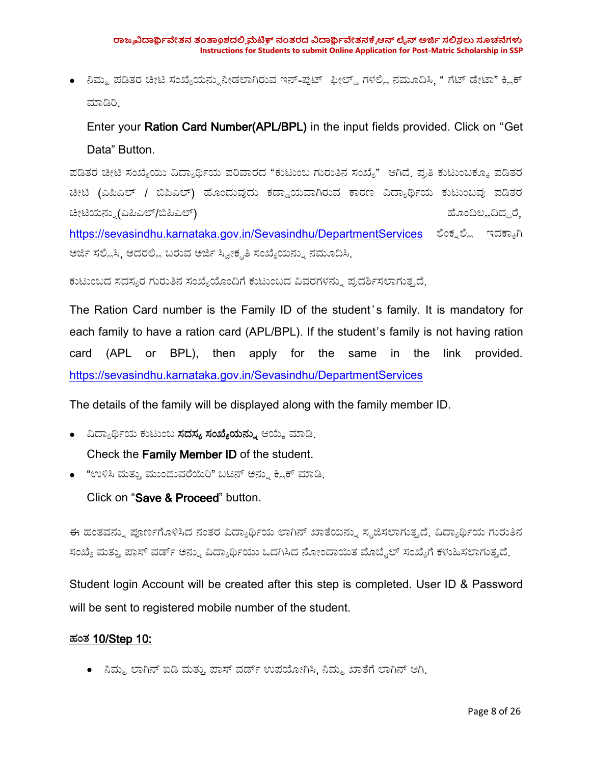• ನಿಮ್ಮ ಪಡಿತರ ಚೀಟಿ ಸಂಖ್ಯೆಯನ್ನುನೀಡಲಾಗಿರುವ ಇನ್-ಪುಟ್ ಫೀಲ್ಡ್ ಗಳಲ್ಲಿ ನಮೂದಿಸಿ. " ಗೆಟ್ ಡೇಟಾ" ಕ್ಲಿಕ್ ಮಾಡಿರಿ

Enter your Ration Card Number(APL/BPL) in the input fields provided. Click on "Get Data" Button.

ಪಡಿತರ ಚೀಟಿ ಸಂಖ್ಯೆಯು ವಿದ್ಯಾರ್ಥಿಯ ಪರಿವಾರದ "ಕುಟುಂಬ ಗುರುತಿನ ಸಂಖ್ಯೆ" ಆಗಿದೆ. ಪ್ರತಿ ಕುಟುಂಬಕ್ಕೂ ಪಡಿತರ ಚೀಟಿ (ಎಪಿಎಲ್ / ಬಿಪಿಎಲ್) ಹೊಂದುವುದು ಕಡ್ಡಾಯವಾಗಿರುವ ಕಾರಣ ವಿದ್ಯಾರ್ಥಿಯ ಕುಟುಂಬವು ಪಡಿತರ ಚೀಟಿಯನ್ನು(ಎಪಿಎಲ್/ಬಿಪಿಎಲ್) ಹೊಂದಿಲ್ಲದಿದ್ದರೆ, <https://sevasindhu.karnataka.gov.in/Sevasindhu/DepartmentServices> ಲಿಂಕ್ನಲ್ಲಿ ಇದಕ್ಕಾಗಿ

ಅರ್ಜಿ ಸಲ್ಲಿಸಿ, ಅದರಲ್ಲಿ ಬರುವ ಅರ್ಜಿ ಸ್ವೀಕೃತಿ ಸಂಖ್ಯೆಯನ್ನು ನಮೂದಿಸಿ.

ಕುಟುಂಬದ ಸದಸ್ಯರ ಗುರುತಿನ ಸಂಖ್ಯೆಯೊಂದಿಗೆ ಕುಟುಂಬದ ವಿವರಗಳನ್ನು ಪ್ರದರ್ಶಿಸಲಾಗುತ್ತದೆ.

The Ration Card number is the Family ID of the student's family. It is mandatory for each family to have a ration card (APL/BPL). If the student's family is not having ration card (APL or BPL), then apply for the same in the link provided. <https://sevasindhu.karnataka.gov.in/Sevasindhu/DepartmentServices>

The details of the family will be displayed along with the family member ID.

- ವಿದ್ಯಾರ್ಥಿಯ ಕುಟುಂಬ **ಸದಸ್ಯ ಸಂಖ್ಯೆಯನ್ನು** ಆಯ್ಕೆ ಮಾಡಿ<sub>-</sub> Check the Family Member ID of the student.
- "ಉಳಿಸಿ ಮತ್ತು ಮುಂದುವರೆಯಿರಿ" ಬಟನ್ ಅನ್ನು ಕ್ಲಿಕ್ ಮಾಡಿ.

Click on "Save & Proceed" button.

ಈ ಹಂತವನ್ನು ಪೂರ್ಣಗೊಳಿಸಿದ ನಂತರ ವಿದ್ಯಾರ್ಥಿಯ ಲಾಗಿನ್ ಖಾತೆಯನ್ನು ಸೃಜಿಸಲಾಗುತ್ತದೆ. ವಿದ್ಯಾರ್ಥಿಯ ಗುರುತಿನ ಸಂಖ್ಯೆ ಮತ್ತು ಪಾಸ್ ವರ್ಡ್ ಅನ್ನು ವಿದ್ಯಾರ್ಥಿಯು ಒದಗಿಸಿದ ನೋಂದಾಯಿತ ಮೊಬೈಲ್ ಸಂಖ್ಯೆಗೆ ಕಳುಹಿಸಲಾಗುತ್ತದೆ.

Student login Account will be created after this step is completed. User ID & Password will be sent to registered mobile number of the student.

#### ಹಂಥ 10/Step 10:

• ನಿಮ್ಮ ಲಾಗಿನ್ ಐಡಿ ಮತ್ತು ಪಾಸ್ ವರ್ಡ್ ಉಪಯೋಗಿಸಿ, ನಿಮ್ಮ ಖಾತೆಗೆ ಲಾಗಿನ್ ಆಗಿ.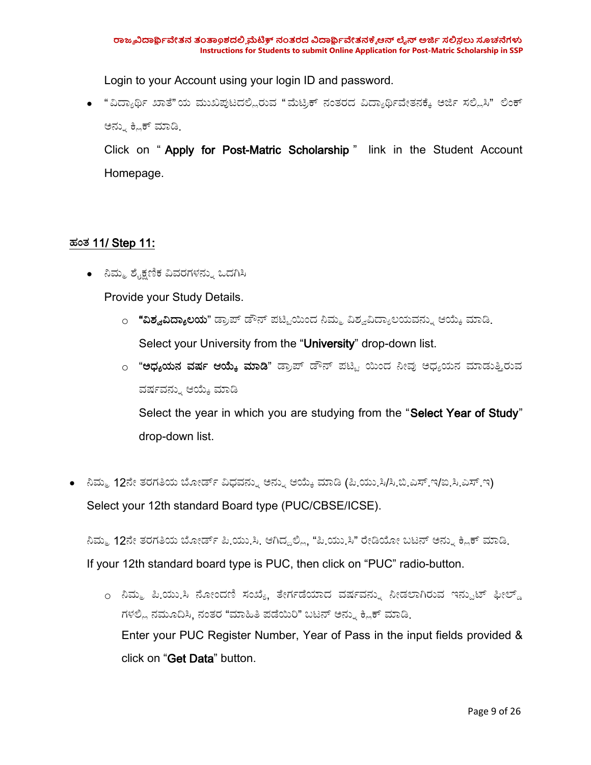Login to your Account using your login ID and password.

• "ವಿದ್ಯಾರ್ಥಿ ಖಾತೆ"ಯ ಮುಖಪುಟದಲ್ಲಿರುವ "ಮೆಟ್ರಿಕ್ ನಂತರದ ವಿದ್ಯಾರ್ಥಿವೇತನಕ್ಕೆ ಅರ್ಜಿ ಸಲ್ಲಿಸಿ" ಲಿಂಕ್ ಅನ್ನು ಕ್ಲಿಕ್ ಮಾಡಿ.

Click on "Apply for Post-Matric Scholarship" link in the Student Account Homepage.

### ಹಂಥ 11/ Step 11:

• ನಿಮ್ಮ ಶೈಕ್ಷಣಿಕ ವಿವರಗಳನ್ನು ಒದಗಿಸಿ

Provide your Study Details.

- <sub>೦</sub> **"ವಿಶ್ವವಿದ್ಯಾಲಯ**" ಡ್ರಾಪ್ ಡೌನ್ ಪಟ್ಟಿಯಿಂದ ನಿಮ್ಮ ವಿಶ್ವವಿದ್ಯಾಲಯವನ್ನು ಆಯ್ಕೆ ಮಾಡಿ<sub>-</sub> Select your University from the "University" drop-down list.
- o "**ಅಧ್ಯಯನ ವರ್ಷ ಆಯ್ಕೆ ಮಾಡಿ**" ಡ್ರಾಪ್ ಡೌನ್ ಪಟ್ಟಿ ಯಿಂದ ನೀವು ಅಧ್ಯಯನ ಮಾಡುತ್ತಿರುವ ವರ್ಷವನ್ನು ಆಯ್ಕೆ ಮಾಡಿ

Select the year in which you are studying from the "Select Year of Study" drop-down list.

• ನಿಮ್ಮ 12ನೇ ತರಗತಿಯ ಬೋರ್ಡ್ ವಿಧವನ್ನು ಅನ್ನು ಆಯ್ಕೆ ಮಾಡಿ (ಪಿ.ಯು.ಸಿ/ಸಿ.ಬಿ.ಎಸ್.ಇ/ಐ.ಸಿ.ಎಸ್.ಇ) Select your 12th standard Board type (PUC/CBSE/ICSE).

ನಿಮ್ಮ 12ನೇ ತರಗತಿಯ ಬೋರ್ಡ್ ಪಿ.ಯು.ಸಿ. ಆಗಿದ್ದಲ್ಲಿ, "ಪಿ.ಯು.ಸಿ" ರೇಡಿಯೋ ಬಟನ್ ಅನ್ನು ಕ್ಲಿಕ್ ಮಾಡಿ. If your 12th standard board type is PUC, then click on "PUC" radio-button.

<sub>೦</sub> ನಿಮ್ಮ ಪಿ<sub>.</sub>ಯು.ಸಿ ನೋಂದಣಿ ಸಂಖ್ಯೆ ತೇರ್ಗಡೆಯಾದ ವರ್ಷವನ್ನು ನೀಡಲಾಗಿರುವ ಇನ್ಪುಟ್ ಫೀಲ್ಡ್ ಗಳಲ್ಲಿ ನಮೂದಿಸಿ, ನಂತರ "ಮಾಹಿತಿ ಪಡೆಯಿರಿ" ಬಟನ್ ಅನ್ನು ಕ್ಲಿಕ್ ಮಾಡಿ. Enter your PUC Register Number, Year of Pass in the input fields provided & click on "Get Data" button.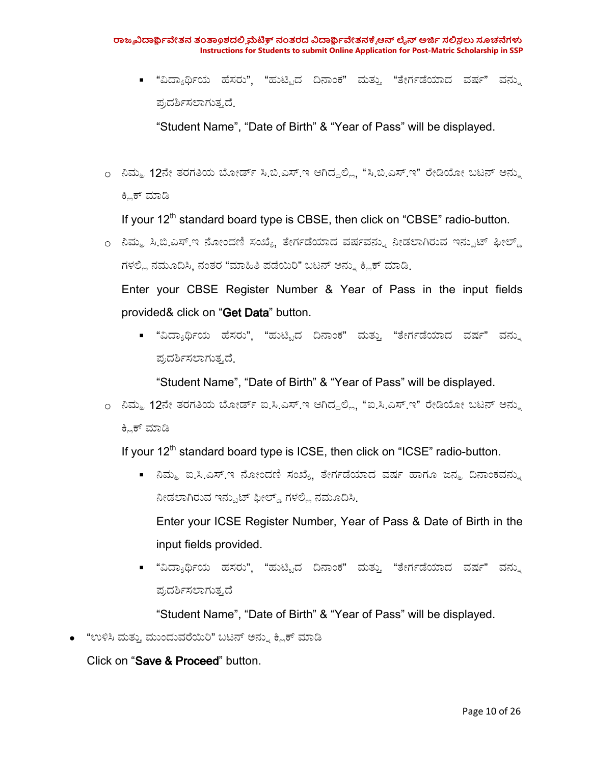■ "ವಿದ್ಯಾರ್ಥಿಯ ಹೆಸರು", "ಹುಟ್ಟಿದ ದಿನಾಂಕ" ಮತ್ತು "ತೇರ್ಗಡೆಯಾದ ವರ್ಷ" ವನ್ನು ಪ್ರದರ್ಶಿಸಲಾಗುತ್ತದೆ.

"Student Name", "Date of Birth" & "Year of Pass" will be displayed.

<sub>೦</sub> ನಿಮ್ಮ 12ನೇ ತರಗತಿಯ ಬೋರ್ಡ್ ಸಿ.ಬಿ.ಎಸ್.ಇ ಆಗಿದ್ದಲ್ಲಿ, "ಸಿ.ಬಿ.ಎಸ್.ಇ" ರೇಡಿಯೋ ಬಟನ್ ಅನ್ನು ಕ್ಲಿಕ್ ಮಾಡಿ

If your 12<sup>th</sup> standard board type is CBSE, then click on "CBSE" radio-button.

o ನಿಮ್ಮ ಸಿ.ಬಿ.ಎಸ್.ಇ ನೋಂದಣಿ ಸಂಖ್ಯೆ, ತೇರ್ಗಡೆಯಾದ ವರ್ಷವನ್ನು ನೀಡಲಾಗಿರುವ ಇನ್ಪುಟ್ ಫೀಲ್ಡ್ ಗಳಲ್ಲಿ ನಮೂದಿಸಿ, ನಂತರ "ಮಾಹಿತಿ ಪಡೆಯಿರಿ" ಬಟನ್ ಅನ್ನು ಕ್ಲಿಕ್ ಮಾಡಿ.

Enter your CBSE Register Number & Year of Pass in the input fields provided& click on "Get Data" button.

■ "ವಿದ್ಯಾರ್ಥಿಯ ಹೆಸರು", "ಹುಟ್ಟಿದ ದಿನಾಂಕ" ಮತ್ತು "ತೇರ್ಗಡೆಯಾದ ವರ್ಷ" ವನ್ನು ಪ್ರದರ್ಶಿಸಲಾಗುತ್ತದೆ.

"Student Name", "Date of Birth" & "Year of Pass" will be displayed.

o ನಿಮ್ಮ 12ನೇ ತರಗತಿಯ ಬೋರ್ಡ್ ಐ.ಸಿ.ಎಸ್.ಇ ಆಗಿದ್ದಲ್ಲಿ. "ಐ.ಸಿ.ಎಸ್.ಇ" ರೇಡಿಯೋ ಬಟನ್ ಅನ್ನು ಕ್ಲಿಕ್ ಮಾಡಿ

If your 12<sup>th</sup> standard board type is ICSE, then click on "ICSE" radio-button.

■ ನಿಮ್ಮ ಐ.ಸಿ.ಎಸ್.ಇ ನೋಂದಣಿ ಸಂಖ್ಯೆ, ತೇರ್ಗಡೆಯಾದ ವರ್ಷ ಹಾಗೂ ಜನ್ಮ ದಿನಾಂಕವನ್ನು ನೀಡಲಾಗಿರುವ ಇನ್ಪುಟ್ ಫೀಲ್ಡ್ ಗಳಲ್ಲಿ ನಮೂದಿಸಿ.

Enter your ICSE Register Number, Year of Pass & Date of Birth in the input fields provided.

■ "ವಿದ್ಯಾರ್ಥಿಯ ಹಸರು", "ಹುಟ್ಟಿದ ದಿನಾಂಕ" ಮತ್ತು "ತೇರ್ಗಡೆಯಾದ ವರ್ಷ" ವನ್ನು ಪ್ರದರ್ಶಿಸಲಾಗುತ್ತದೆ

"Student Name", "Date of Birth" & "Year of Pass" will be displayed.

• "ಉಳಿಸಿ ಮತ್ತು ಮುಂದುವರೆಯಿರಿ" ಬಟನ್ ಅನ್ನು ಕ್ಲಿಕ್ ಮಾಡಿ

Click on "Save & Proceed" button.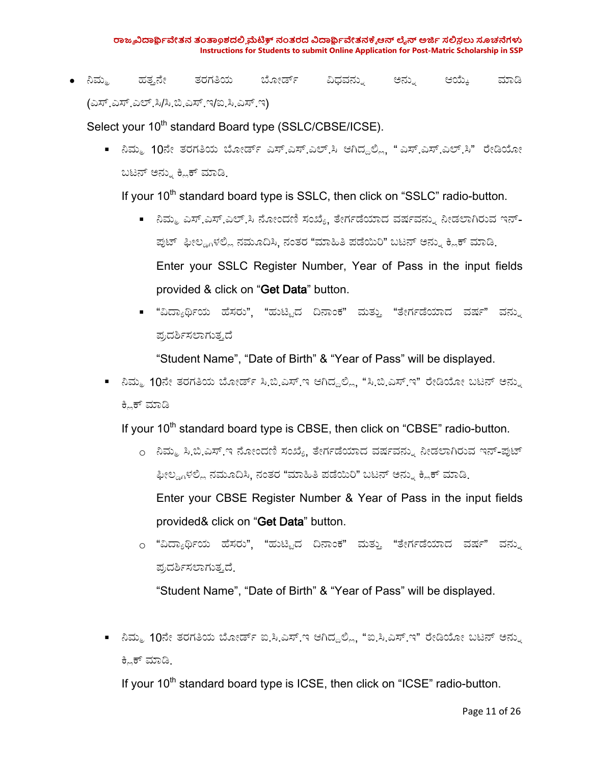• ನಿಮ್ಮ ಹತ್ತನೇ ತರಗತಿಯ ಬೋರ್ಡ್ ವಿಧವನ್ನು ಅನ್ನು ಆಯ್ಕೆ ಮಾಡಿ (ಎಸ್.ಎಸ್.ಎಲ್.ಸಿ/ಸಿ.ಬಿ.ಎಸ್.ಇ/ಐ.ಸಿ.ಎಸ್.ಇ)

Select your 10<sup>th</sup> standard Board type (SSLC/CBSE/ICSE).

■ ನಿಮ್ಮ 10ನೇ ತರಗತಿಯ ಬೋರ್ಡ್ ಎಸ್.ಎಸ್.ಎಲ್.ಸಿ ಆಗಿದ್ದಲ್ಲಿ "ಎಸ್.ಎಸ್.ಎಲ್.ಸಿ" ರೇಡಿಯೋ ಬಟನ್ ಅನ್ನು ಕ್ಲಿಕ್ ಮಾಡಿ.

If your 10<sup>th</sup> standard board type is SSLC, then click on "SSLC" radio-button.

- ನಿಮ್ಮ ಎಸ್.ಎಸ್.ಎಲ್.ಸಿ ನೋಂದಣಿ ಸಂಖ್ಯೆ. ತೇರ್ಗಡೆಯಾದ ವರ್ಷವನ್ನು ನೀಡಲಾಗಿರುವ ಇನ್-ಪುಟ್ ಫೀಲ್ಡ್ಗಳಲ್ಲಿ ನಮೂದಿಸಿ, ನಂತರ "ಮಾಹಿತಿ ಪಡೆಯಿರಿ" ಬಟನ್ ಅನ್ನು ಕ್ಲಿಕ್ ಮಾಡಿ Enter your SSLC Register Number, Year of Pass in the input fields provided & click on "Get Data" button.
- "ವಿದ್ಯಾರ್ಥಿಯ ಹೆಸರು", "ಹುಟ್ಟಿದ ದಿನಾಂಕ" ಮತ್ತು "ತೇರ್ಗಡೆಯಾದ ವರ್ಷ" ವನ್ನು ಪ್ರದರ್ಶಿಸಲಾಗುತ್ತದೆ

"Student Name", "Date of Birth" & "Year of Pass" will be displayed.

■ ನಿಮ್ಮ 10ನೇ ತರಗತಿಯ ಬೋರ್ಡ್ ಸಿ.ಬಿ.ಎಸ್.ಇ ಆಗಿದ್ದಲ್ಲಿ, "ಸಿ.ಬಿ.ಎಸ್.ಇ" ರೇಡಿಯೋ ಬಟನ್ ಅನ್ನು ಕ್ಲಿಕ್ ಮಾಡಿ

If your 10<sup>th</sup> standard board type is CBSE, then click on "CBSE" radio-button.

- o ನಿಮ್ಮ ಸಿ.ಬಿ.ಎಸ್.ಇ ನೋಂದಣಿ ಸಂಖ್ಯೆ, ತೇರ್ಗಡೆಯಾದ ವರ್ಷವನ್ನು ನೀಡಲಾಗಿರುವ ಇನ್-ಪುಟ್ ಫೀಲ್ಡ್ಗಳಲ್ಲಿ ನಮೂದಿಸಿ, ನಂತರ "ಮಾಹಿತಿ ಪಡೆಯಿರಿ" ಬಟನ್ ಅನ್ನು ಕ್ಲಿಕ್ ಮಾಡಿ. Enter your CBSE Register Number & Year of Pass in the input fields provided& click on "Get Data" button.
- o "ವಿದ್ಯಾರ್ಥಿಯ ಹೆಸರು", "ಹುಟ್ಟಿದ ದಿನಾಂಕ" ಮತ್ತು "ತೇರ್ಗಡೆಯಾದ ವರ್ಷ" ವನ್ನು ಪ್ರದರ್ಶಿಸಲಾಗುತ್ತದೆ.

"Student Name", "Date of Birth" & "Year of Pass" will be displayed.

■ ನಿಮ್ಮ 10ನೇ ತರಗತಿಯ ಬೋರ್ಡ್ ಐ.ಸಿ.ಎಸ್.ಇ ಆಗಿದ್ದಲ್ಲಿ, "ಐ.ಸಿ.ಎಸ್.ಇ" ರೇಡಿಯೋ ಬಟನ್ ಅನ್ನು ಕ್ಲಿಕ್ ಮಾಡಿ.

If your 10<sup>th</sup> standard board type is ICSE, then click on "ICSE" radio-button.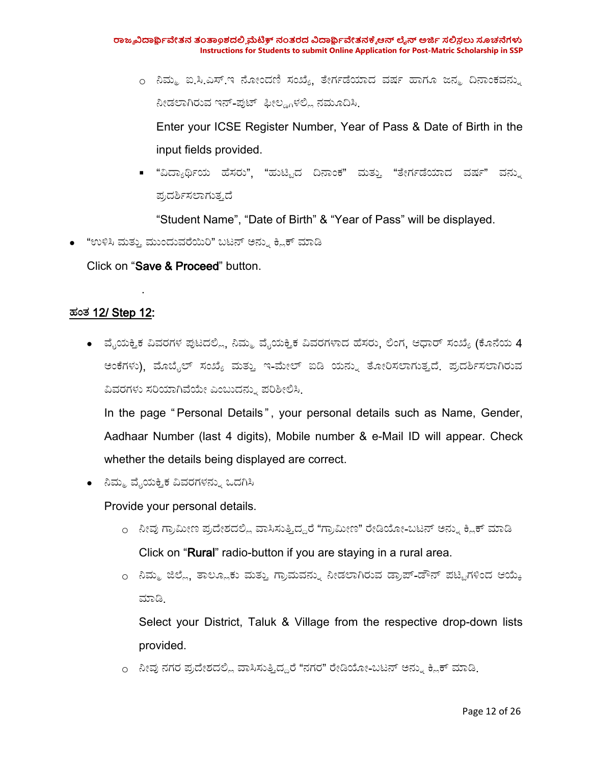o ನಿಮ್ಮ ಐ.ಸಿ.ಎಸ್.ಇ ನೋಂದಣಿ ಸಂಖ್ಯೆ ತೇರ್ಗಡೆಯಾದ ವರ್ಷ ಹಾಗೂ ಜನ್ಮ ದಿನಾಂಕವನ್ನು ನೀಡಲಾಗಿರುವ ಇನ್-ಪುಟ್ ಫೀಲ್ಡ್ಗಳಲ್ಲಿ ನಮೂದಿಸಿ

Enter your ICSE Register Number, Year of Pass & Date of Birth in the input fields provided.

■ "ವಿದ್ಯಾರ್ಥಿಯ ಹೆಸರು", "ಹುಟ್ಟಿದ ದಿನಾಂಕ" ಮತ್ತು "ತೇರ್ಗಡೆಯಾದ ವರ್ಷ" ವನ್ನು ಪ್ರದರ್ಶಿಸಲಾಗುತ್ತದೆ

"Student Name", "Date of Birth" & "Year of Pass" will be displayed.

• "ಉಳಿಸಿ ಮತ್ತು ಮುಂದುವರೆಯಿರಿ" ಬಟನ್ ಅನ್ನು ಕ್ಲಿಕ್ ಮಾಡಿ

Click on "Save & Proceed" button.

.

#### ಹಂಥ 12/ Step 12:

 $\bullet$   $\,$  ವೈಯಕ್ತಿಕ ವಿವರಗಳ ಪುಟದಲ್ಲಿ, ನಿಮ್ಮ ವೈಯಕ್ತಿಕ ವಿವರಗಳಾದ ಹೆಸರು, ಲಿಂಗ, ಆಧಾರ್ ಸಂಖ್ಯೆ (ಕೊನೆಯ 4 ಅಂಕೆಗಳು), ಮೊಬೈಲ್ ಸಂಖ್ಯೆ ಮತ್ತು ಇ-ಮೇಲ್ ಐಡಿ ಯನ್ನು ತೋರಿಸಲಾಗುತ್ತದೆ. ಪ್ರದರ್ಶಿಸಲಾಗಿರುವ ವಿವರಗಳು ಸರಿಯಾಗಿವೆಯೇ ಎಂಬುದನ್ನು ಪರಿಶೀಲಿಸಿ.

In the page " Personal Details " , your personal details such as Name, Gender, Aadhaar Number (last 4 digits), Mobile number & e-Mail ID will appear. Check whether the details being displayed are correct.

● ನಿಮ್ಮ ವೈಯಕ್ತಿಕ ವಿವರಗಳನ್ನು ಒದಗಿಸಿ

Provide your personal details.

- o ನೀವು ಗ್ರಾಮೀಣ ಪ್ರದೇಶದಲ್ಲಿ ವಾಸಿಸುತ್ತಿದ್ದರೆ "ಗ್ರಾಮೀಣ" ರೇಡಿಯೋ-ಬಟನ್ ಅನ್ನು ಕ್ಲಿಕ್ ಮಾಡಿ Click on "Rural" radio-button if you are staying in a rural area.
- o ನಿಮ್ಮ ಜಿಲ್ಲೆ, ತಾಲ್ಲೂಕು ಮತ್ತು ಗ್ರಾಮವನ್ನು ನೀಡಲಾಗಿರುವ ಡ್ರಾಪ್-ಡೌನ್ ಪಟ್ಟಿಗಳಿಂದ ಆಯ್ಕೆ ಮಾಡ.

Select your District, Taluk & Village from the respective drop-down lists provided.

o ನೀವು ನಗರ ಪ್ರದೇಶದಲ್ಲಿ ವಾಸಿಸುತ್ತಿದ್ದರೆ "ನಗರ" ರೇಡಿಯೋ-ಬಟನ್ ಅನ್ನು ಕ್ಲಿಕ್ ಮಾಡಿ<sub>-</sub>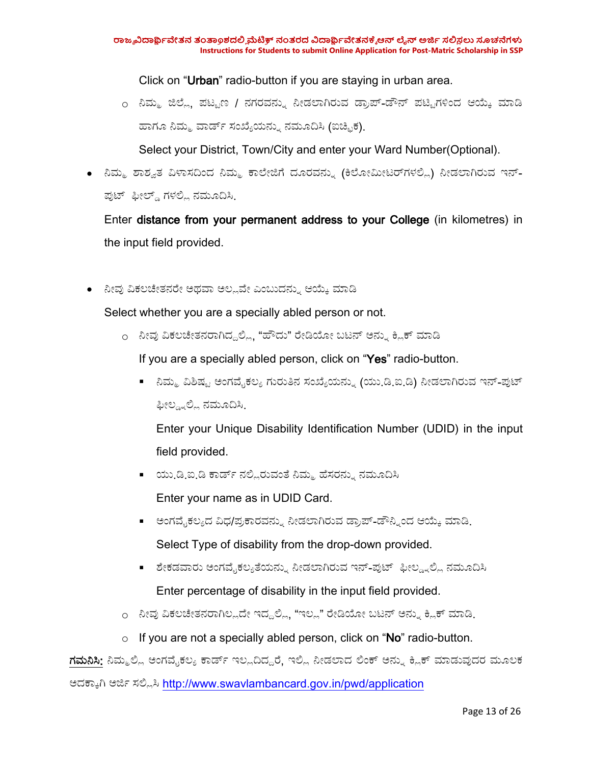Click on "Urban" radio-button if you are staying in urban area.

o ನಿಮ್ಮ ಜಿಲ್ಲೆ, ಪಟ್ಟಣ / ನಗರವನ್ನು ನೀಡಲಾಗಿರುವ ಡ್ರಾಪ್-ಡೌನ್ ಪಟ್ಟಿಗಳಿಂದ ಆಯ್ಕೆ ಮಾಡಿ ಹಾಗೂ ನಿಮ್ಮ ವಾರ್ಡ್ ಸಂಖ್ಯೆಯನ್ನು ನಮೂದಿಸಿ (ಐಚ್ಛಿಕ).

Select your District, Town/City and enter your Ward Number(Optional).

• ನಿಮ್ಮ ಶಾಶ್ವತ ವಿಳಾಸದಿಂದ ನಿಮ್ಮ ಕಾಲೇಜಿಗೆ ದೂರವನ್ನು (ಕಿಲೋಮೀಟರ್ಗಳಲ್ಲಿ) ನೀಡಲಾಗಿರುವ ಇನ್-ಪುಟ್ ಫೀಲ್ಡ್ ಗಳಲ್ಲಿ ನಮೂದಿಸಿ

Enter distance from your permanent address to your College (in kilometres) in the input field provided.

● ನೀವು ವಿಕಲಚೇತನರೇ ಅಥವಾ ಅಲ್ಲವೇ ಎಂಬುದನ್ನು ಆಯ್ಕೆ ಮಾಡಿ

Select whether you are a specially abled person or not.

o ನೀವು ವಿಕಲಚೇತನರಾಗಿದ್ದಲ್ಲಿ, "ಹೌದು" ರೇಡಿಯೋ ಬಟನ್ ಅನ್ನು ಕ್ಲಿಕ್ ಮಾಡಿ

If you are a specially abled person, click on "Yes" radio-button.

■ ನಿಮ್ಮ ವಿಶಿಷ್ಟ ಅಂಗವೈಕಲ್ಯ ಗುರುತಿನ ಸಂಖ್ಯೆಯನ್ನು (ಯು.ಡಿ.ಐ.ಡಿ) ನೀಡಲಾಗಿರುವ ಇನ್-ಪುಟ್ ಫೀಲ್ಡ್ನಲ್ಲಿ ನಮೂದಿಸಿ.

Enter your Unique Disability Identification Number (UDID) in the input field provided.

■ ಯು.ಡಿ.ಐ.ಡಿ ಕಾರ್ಡ್ ನಲ್ಲಿರುವಂತೆ ನಿಮ್ಮ ಹೆಸರನ್ನು ನಮೂದಿಸಿ

Enter your name as in UDID Card.

- ಅಂಗವೈಕಲ್ಯದ ವಿಧ/ಪ್ರಕಾರವನ್ನು ನೀಡಲಾಗಿರುವ ಡ್ರಾಪ್-ಡೌನ್ನಿಂದ ಆಯ್ಕೆ ಮಾಡಿ Select Type of disability from the drop-down provided.
- ಶೇಕಡವಾರು ಅಂಗವೈಕಲ್ಯತೆಯನ್ನು ನೀಡಲಾಗಿರುವ ಇನ್-ಪುಟ್ ಫೀಲ್ಡ್ನಲ್ಲಿ ನಮೂದಿಸಿ Enter percentage of disability in the input field provided.
- o ನೀವು ವಿಕಲಚೇತನರಾಗಿಲ್ಲದೇ ಇದ್ದಲ್ಲಿ, "ಇಲ್ಲ" ರೇಡಿಯೋ ಬಟನ್ ಅನ್ನು ಕ್ಲಿಕ್ ಮಾಡಿ<sub>-</sub>
- $\circ$  If you are not a specially abled person, click on "No" radio-button.

ಗಮನಿಸಿ: ನಿಮ್ಮಲ್ಲಿ ಅಂಗವೈಕಲ್ಯ ಕಾರ್ಡ್ ಇಲ್ಲದಿದ್ದರೆ, ಇಲ್ಲಿ ನೀಡಲಾದ ಲಿಂಕ್ ಅನ್ನು ಕ್ಲಿಕ್ ಮಾಡುವುದರ ಮೂಲಕ ಅದಕ್ಕಾಗಿ ಅರ್ಜಿ ಸಲ್ಲಿಸಿ <http://www.swavlambancard.gov.in/pwd/application>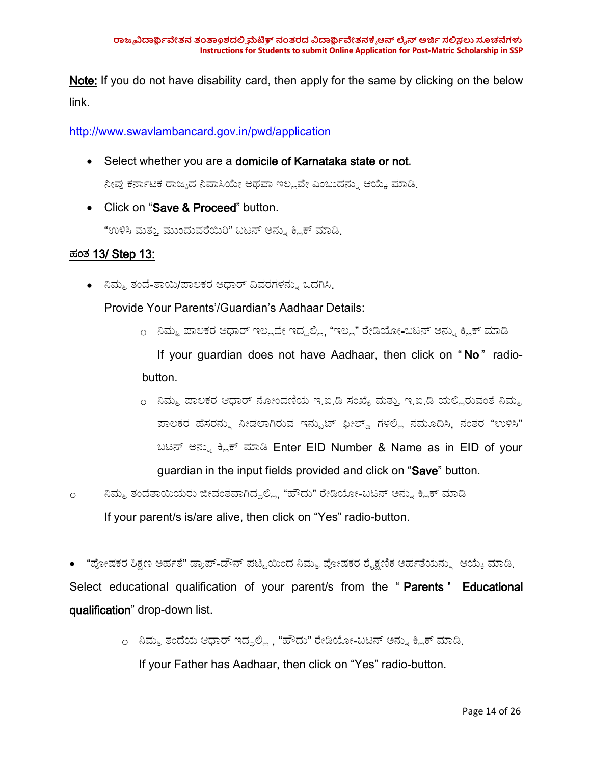Note: If you do not have disability card, then apply for the same by clicking on the below link.

<http://www.swavlambancard.gov.in/pwd/application>

• Select whether you are a domicile of Karnataka state or not.

ನೀವು ಕರ್ನಾಟಕ ರಾಜ್ಯದ ನಿವಾಸಿಯೇ ಅಥವಾ ಇಲ್ಲವೇ ಎಂಬುದನ್ನು ಆಯ್ಕೆ ಮಾಡಿ.

• Click on "Save & Proceed" button.

"ಉಳಿಸಿ ಮತ್ತು ಮುಂದುವರೆಯಿರಿ" ಬಟನ್ ಅನ್ನು ಕ್ಲಿಕ್ ಮಾಡಿ.

### ಹಂಥ 13/ Step 13:

• ನಿಮ್ಮ ತಂದೆ-ತಾಯಿ/ಪಾಲಕರ ಆಧಾರ್ ವಿವರಗಳನ್ನು ಒದಗಿಸಿ.

Provide Your Parents'/Guardian's Aadhaar Details:

- o ನಿಮ್ಮ ಪಾಲಕರ ಆಧಾರ್ ಇಲ್ಲದೇ ಇದ್ದಲ್ಲಿ, "ಇಲ್ಲ" ರೇಡಿಯೋ-ಬಟನ್ ಅನ್ನು ಕ್ಲಿಕ್ ಮಾಡಿ If your guardian does not have Aadhaar, then click on "No" radiobutton.
- o ನಿಮ್ಮ ಪಾಲಕರ ಆಧಾರ್ ನೋಂದಣಿಯ ಇ.ಐ.ಡಿ ಸಂಖ್ಯೆ ಮತ್ತು ಇ.ಐ.ಡಿ ಯಲ್ಲಿರುವಂತೆ ನಿಮ್ಮ ಪಾಲಕರ ಹೆಸರನ್ನು ನೀಡಲಾಗಿರುವ ಇನ್ಪುಟ್ ಫೀಲ್ಡ್ ಗಳಲ್ಲಿ ನಮೂದಿಸಿ, ನಂತರ "ಉಳಿಸಿ" ಬಟನ್ ಅನ್ನು ಕ್ಲಿಕ್ ಮಾಡಿ Enter EID Number & Name as in EID of your guardian in the input fields provided and click on "Save" button.
- o ನಿಮ್ಮ ತಂದೆತಾಯಿಯರು ಜೀವಂತವಾಗಿದ್ದಲ್ಲಿ, "ಹೌದು" ರೇಡಿಯೋ-ಬಟನ್ ಅನ್ನು ಕ್ಲಿಕ್ ಮಾಡಿ If your parent/s is/are alive, then click on "Yes" radio-button.

• "ಪೋಷಕರ ಶಿಕ್ಷಣ ಅರ್ಹತೆ" ಡ್ರಾಪ್-ಡೌನ್ ಪಟ್ಟಿಯಿಂದ ನಿಮ್ಮ ಪೋಷಕರ ಶೈಕ್ಷಣಿಕ ಅರ್ಹತೆಯನ್ನು ಆಯ್ಕೆ ಮಾಡಿ. Select educational qualification of your parent/s from the "Parents' Educational qualification" drop-down list.

> o ನಿಮ್ಮ ತಂದೆಯ ಆಧಾರ್ ಇದ್ದಲ್ಲಿ , "ಹೌದು" ರೇಡಿಯೋ-ಬಟನ್ ಅನ್ನು ಕ್ಲಿಕ್ ಮಾಡಿ<sub>-</sub> If your Father has Aadhaar, then click on "Yes" radio-button.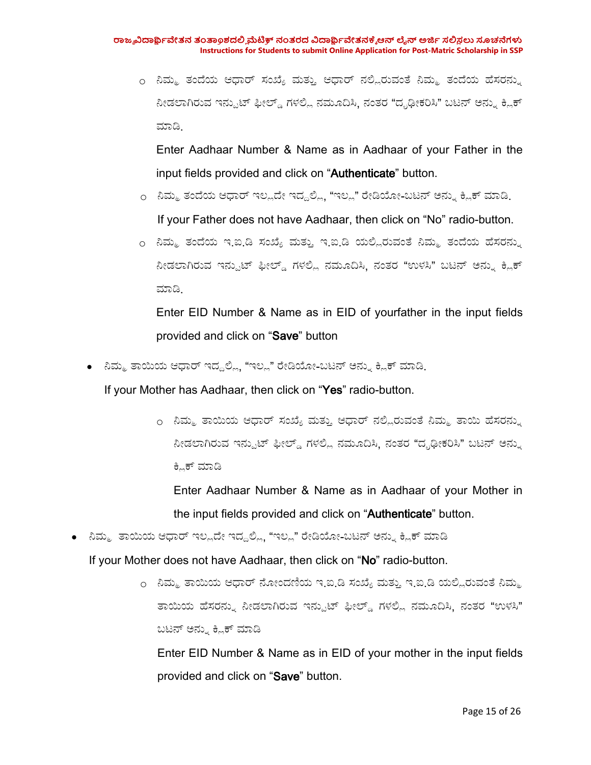o ನಿಮ್ಮ ತಂದೆಯ ಆಧಾರ್ ಸಂಖ್ಯೆ ಮತ್ತು ಆಧಾರ್ ನಲ್ಲಿರುವಂತೆ ನಿಮ್ಮ ತಂದೆಯ ಹೆಸರನ್ನು ನೀಡಲಾಗಿರುವ ಇನ್ಪುಟ್ ಫೀಲ್ಡ್ ಗಳಲ್ಲಿ ನಮೂದಿಸಿ. ನಂತರ "ದೃಢೀಕರಿಸಿ" ಬಟನ್ ಅನ್ನು ಕ್ಲಿಕ್ ಮಾಡ.

Enter Aadhaar Number & Name as in Aadhaar of your Father in the input fields provided and click on "Authenticate" button.

- o ನಿಮ್ಮ ತಂದೆಯ ಆಧಾರ್ ಇಲ್ಲದೇ ಇದ್ದಲ್ಲಿ, "ಇಲ್ಲ" ರೇಡಿಯೋ-ಬಟನ್ ಅನ್ನು ಕ್ಲಿಕ್ ಮಾಡಿ<sub>-</sub> If your Father does not have Aadhaar, then click on "No" radio-button.
- o ನಿಮ್ಮ ತಂದೆಯ ಇ.ಐ.ಡಿ ಸಂಖ್ಯೆ ಮತ್ತು ಇ.ಐ.ಡಿ ಯಲ್ಲಿರುವಂತೆ ನಿಮ್ಮ ತಂದೆಯ ಹೆಸರನ್ನು ನೀಡಲಾಗಿರುವ ಇನ್ಪುಟ್ ಫೀಲ್ಡ್ ಗಳಲ್ಲಿ ನಮೂದಿಸಿ, ನಂತರ "ಉಳಸಿ" ಬಟನ್ ಅನ್ನು ಕ್ಲಿಕ್ ಮಾಡ.

Enter EID Number & Name as in EID of yourfather in the input fields provided and click on "Save" button

• ನಿಮ್ಮ ತಾಯಿಯ ಆಧಾರ್ ಇದ್ದಲ್ಲಿ, "ಇಲ್ಲ" ರೇಡಿಯೋ-ಬಟನ್ ಅನ್ನು ಕ್ಲಿಕ್ ಮಾಡಿ.

If your Mother has Aadhaar, then click on "Yes" radio-button.

o ನಿಮ್ಮ ತಾಯಿಯ ಆಧಾರ್ ಸಂಖ್ಯೆ ಮತ್ತು ಆಧಾರ್ ನಲ್ಲಿರುವಂತೆ ನಿಮ್ಮ ತಾಯಿ ಹೆಸರನ್ನು ನೀಡಲಾಗಿರುವ ಇನ್ಪುಟ್ ಫೀಲ್ಡ್ ಗಳಲ್ಲಿ ನಮೂದಿಸಿ, ನಂತರ "ದೃಢೀಕರಿಸಿ" ಬಟನ್ ಅನ್ನು ಕ್ಲಿಕ್ ಮಾಡಿ

Enter Aadhaar Number & Name as in Aadhaar of your Mother in the input fields provided and click on "Authenticate" button.

• ನಿಮ್ಮ ತಾಯಿಯ ಆಧಾರ್ ಇಲ್ಲದೇ ಇದ್ದಲ್ಲಿ, "ಇಲ್ಲ" ರೇಡಿಯೋ-ಬಟನ್ ಅನ್ನು ಕ್ಲಿಕ್ ಮಾಡಿ

If your Mother does not have Aadhaar, then click on "No" radio-button.

o ನಿಮ್ಮ ತಾಯಿಯ ಆಧಾರ್ ನೋಂದಣಿಯ ಇ.ಐ.ಡಿ ಸಂಖ್ಯೆ ಮತ್ತು ಇ.ಐ.ಡಿ ಯಲ್ಲಿರುವಂತೆ ನಿಮ್ಮ ತಾಯಿಯ ಹೆಸರನ್ನು ನೀಡಲಾಗಿರುವ ಇನ್ಪುಟ್ ಫೀಲ್ಡ್ ಗಳಲ್ಲಿ ನಮೂದಿಸಿ, ನಂತರ "ಉಳಸಿ" ಬಟನ್ ಅನ್ನು ಕ್ಲಿಕ್ ಮಾಡಿ

Enter EID Number & Name as in EID of your mother in the input fields provided and click on "Save" button.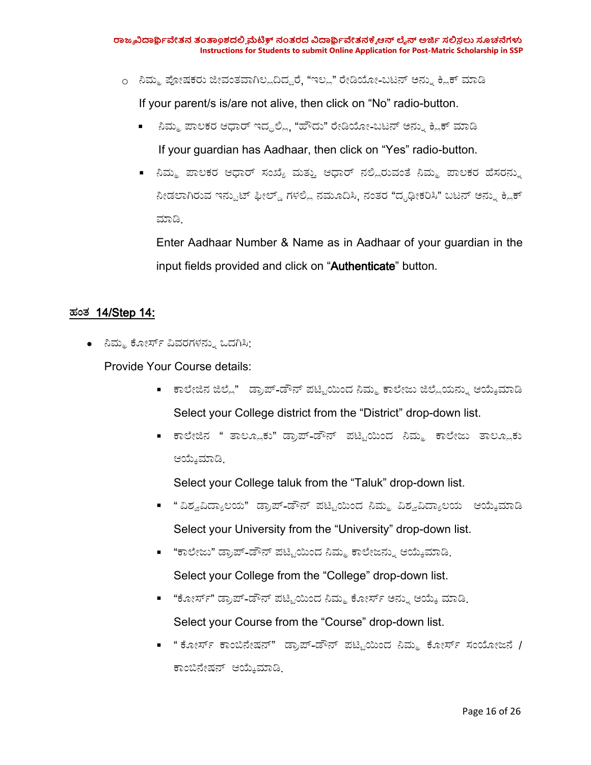- o ನಿಮ್ಮ ಪೋಷಕರು ಜೀವಂತವಾಗಿಲ್ಲದಿದ್ದರೆ, "ಇಲ್ಲ" ರೇಡಿಯೋ-ಬಟನ್ ಅನ್ನು ಕ್ಲಿಕ್ ಮಾಡಿ If your parent/s is/are not alive, then click on "No" radio-button.
	- ನಿಮ್ಮ ಪಾಲಕರ ಆಧಾರ್ ಇದ್ದಲ್ಲಿ, "ಹೌದು" ರೇಡಿಯೋ-ಬಟನ್ ಅನ್ನು ಕ್ಲಿಕ್ ಮಾಡಿ If your guardian has Aadhaar, then click on "Yes" radio-button.
	- ನಿಮ್ಮ ಪಾಲಕರ ಆಧಾರ್ ಸಂಖ್ಯೆ ಮತ್ತು ಆಧಾರ್ ನಲ್ಲಿರುವಂತೆ ನಿಮ್ಮ ಪಾಲಕರ ಹೆಸರನ್ನು ನೀಡಲಾಗಿರುವ ಇನ್ಪುಟ್ ಫೀಲ್ಡ್ ಗಳಲ್ಲಿ ನಮೂದಿಸಿ, ನಂತರ "ದೃಢೀಕರಿಸಿ" ಬಟನ್ ಅನ್ನು ಕ್ಲಿಕ್ ಮಾಡ.

Enter Aadhaar Number & Name as in Aadhaar of your guardian in the input fields provided and click on "Authenticate" button.

### ಹಂಥ 14/Step 14:

● ನಿಮ್ಮ ಕೋರ್ಸ್ ವಿವರಗಳನ್ನು ಒದಗಿಸಿ:

Provide Your Course details:

- ಕಾಲೇಜಿನ ಜಿಲ್ಲೆ" ಡ್ರಾಪ್-ಡೌನ್ ಪಟ್ಟಿಯಿಂದ ನಿಮ್ಮ ಕಾಲೇಜು ಜಿಲ್ಲೆಯನ್ನು ಆಯ್ಕೆಮಾಡಿ Select your College district from the "District" drop-down list.
- ಕಾಲೇಜಿನ " ತಾಲ್ಲೂಕು" ಡ್ರಾಪ್-ಡೌನ್ ಪಟ್ಟಿಯಿಂದ ನಿಮ್ಮ ಕಾಲೇಜು ತಾಲ್ಲೂಕು ಆಯೇಮಾಡ.

Select your College taluk from the "Taluk" drop-down list.

- "ವಿಶ್ವವಿದ್ಯಾಲಯ" ಡ್ರಾಪ್-ಡೌನ್ ಪಟ್ಟಿಯಿಂದ ನಿಮ್ಮ ವಿಶ್ವವಿದ್ಯಾಲಯ ಆಯ್ಕೆಮಾಡಿ Select your University from the "University" drop-down list.
- "ಕಾಲೇಜು" ಡ್ರಾಪ್-ಡೌನ್ ಪಟ್ಟಿಯಿಂದ ನಿಮ್ಮ ಕಾಲೇಜನ್ನು ಆಯ್ಕೆಮಾಡಿ.
	- Select your College from the "College" drop-down list.
- "ಕೋರ್ಸ್" ಡ್ರಾಪ್-ಡೌನ್ ಪಟ್ಟಿಯಿಂದ ನಿಮ್ಮ ಕೋರ್ಸ್ ಅನ್ನು ಆಯ್ಕೆ ಮಾಡಿ. Select your Course from the "Course" drop-down list.
- "ಕೋರ್ಸ್ ಕಾಂಬಿನೇಷನ್" ಡ್ರಾಪ್-ಡೌನ್ ಪಟ್ಟಿಯಿಂದ ನಿಮ್ಮ ಕೋರ್ಸ್ ಸಂಯೋಜನೆ / ಕಾಂಬನ್ಶನ ಆಯೇಮಾಡ.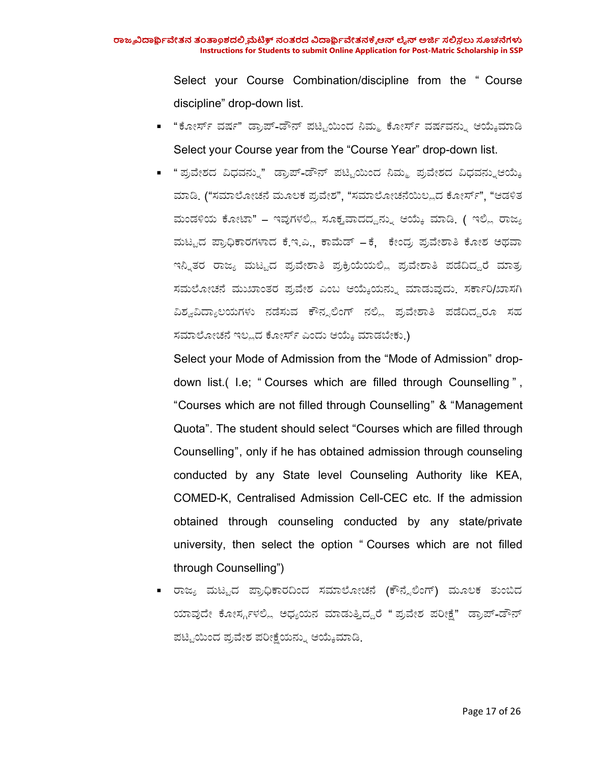Select your Course Combination/discipline from the " Course discipline" drop-down list.

- "ಕೋರ್ಸ್ ವರ್ಷ" ಡ್ರಾಪ್-ಡೌನ್ ಪಟ್ಟಿಯಿಂದ ನಿಮ್ಮ ಕೋರ್ಸ್ ವರ್ಷವನ್ನು ಆಯ್ಕೆಮಾಡಿ Select your Course year from the "Course Year" drop-down list.
- "ಪ್ರವೇಶದ ವಿಧವನ್ನು" ಡ್ರಾಪ್-ಡೌನ್ ಪಟ್ಟಿಯಿಂದ ನಿಮ್ಮ ಪ್ರವೇಶದ ವಿಧವನ್ನುಆಯ್ಕೆ ಮಾಡಿ. ("ಸಮಾಲೋಚನೆ ಮೂಲಕ ಪ್ರವೇಶ", "ಸಮಾಲೋಚನೆಯಿಲ್ಲದ ಕೋರ್ಸ್", "ಆಡಳಿತ ಮಂಡಳಿಯ ಕೋಟಾ" – ಇವುಗಳಲ್ಲಿ ಸೂಕ್ತವಾದದ್ದನ್ನು ಆಯ್ಕೆ ಮಾಡಿ. ( ಇಲ್ಲಿ ರಾಜ್ಯ ಮಟ್ಟದ ಪ್ರಾಧಿಕಾರಗಳಾದ ಕೆ.ಇ.ಎ., ಕಾಮೆಡ್ – ಕೆ, ಕೇಂದ್ರ ಪ್ರವೇಶಾತಿ ಕೋಶ ಅಥವಾ ಇನ್ನಿತರ ರಾಜ್ಯ ಮಟ್ಟದ ಪ್ರವೇಶಾತಿ ಪ್ರಕ್ರಿಯೆಯಲ್ಲಿ ಪ್ರವೇಶಾತಿ ಪಡೆದಿದ್ದರೆ ಮಾತ್ರ ಸಮಲೋಚನೆ ಮುಖಾಂತರ ಪ್ರವೇಶ ಎಂಬ ಆಯ್ಕೆಯನ್ನು ಮಾಡುವುದು. ಸರ್ಕಾರಿ/ಖಾಸಗಿ ವಿಶ್ವವಿದ್ಯಾಲಯಗಳು ನಡೆಸುವ ಕೌನ್ಸಲಿಂಗ್ ನಲ್ಲಿ ಪ್ರವೇಶಾತಿ ಪಡೆದಿದ್ದರೂ ಸಹ ಸಮಾಲೋಚನೆ ಇಲ್ಲದ ಕೋರ್ಸ್ ಎಂದು ಆಯ್ಕೆ ಮಾಡಬೇಕು.)

Select your Mode of Admission from the "Mode of Admission" drop down list.( I.e; " Courses which are filled through Counselling " , "Courses which are not filled through Counselling" & "Management Quota". The student should select "Courses which are filled through Counselling", only if he has obtained admission through counseling conducted by any State level Counseling Authority like KEA, COMED-K, Centralised Admission Cell-CEC etc. If the admission obtained through counseling conducted by any state/private university, then select the option " Courses which are not filled through Counselling")

■ ರಾಜ್ಯ ಮಟ್ಟದ ಪ್ರಾಧಿಕಾರದಿಂದ ಸಮಾಲೋಚನೆ (ಕೌನ್ಸೆಲಿಂಗ್) ಮೂಲಕ ತುಂಬಿದ ಯಾವುದೇ ಕೋರ್ಸ್ಗಳಲ್ಲಿ ಅಧ್ಯಯನ ಮಾಡುತ್ತಿದ್ದರೆ " ಪ್ರವೇಶ ಪರೀಕ್ಷೆ" ಡ್ರಾಪ್-ಡೌನ್ ಪಟ್ಟಿಯಿಂದ ಪ್ರವೇಶ ಪರೀಕ್ಷೆಯನ್ನು ಆಯ್ಕೆಮಾಡಿ.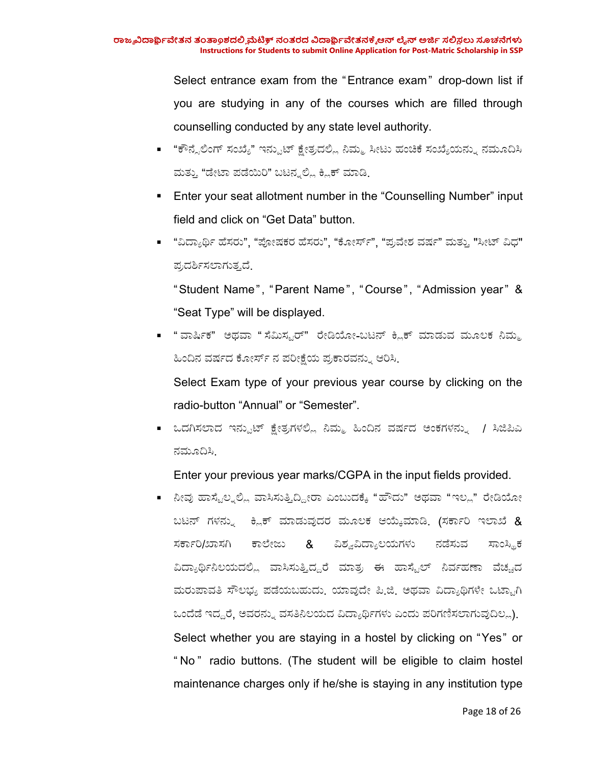Select entrance exam from the "Entrance exam" drop-down list if you are studying in any of the courses which are filled through counselling conducted by any state level authority.

- "ಕೌನ್ಸೆಲಿಂಗ್ ಸಂಖ್ಯೆ" ಇನ್ಪುಟ್ ಕ್ಷೇತ್ರದಲ್ಲಿ ನಿಮ್ಮ ಸೀಟು ಹಂಚಿಕೆ ಸಂಖ್ಯೆಯನ್ನು ನಮೂದಿಸಿ ಮತ್ತು "ಡೇಟಾ ಪಡೆಯಿರಿ" ಬಟನ್ನಲ್ಲಿ ಕ್ಲಿಕ್ ಮಾಡಿ.
- **Enter your seat allotment number in the "Counselling Number" input** field and click on "Get Data" button.
- "ವಿದ್ಯಾರ್ಥಿ ಹೆಸರು", "ಪೋಷಕರ ಹೆಸರು", "ಕೋರ್ಸ್", "ಪ್ರವೇಶ ವರ್ಷ" ಮತ್ತು "ಸೀಟ್ ವಿಧ" ಪ್ರದರ್ಶಿಸಲಾಗುತ್ತದೆ.

"Student Name", "Parent Name", "Course", "Admission year" & "Seat Type" will be displayed.

■ " ವಾರ್ಷಿಕ" ಅಥವಾ " ಸೆಮಿಸ್ಟರ್" ರೇಡಿಯೋ-ಬಟನ್ ಕ್ಲಿಕ್ ಮಾಡುವ ಮೂಲಕ ನಿಮ್ಮ ಹಿಂದಿನ ವರ್ಷದ ಕೋರ್ಸ್ ನ ಪರೀಕ್ಷೆಯ ಪ್ರಕಾರವನ್ನು ಆರಿಸಿ

Select Exam type of your previous year course by clicking on the radio-button "Annual" or "Semester".

■ ಒದಗಿಸಲಾದ ಇನ್ಪುಟ್ ಕ್ಷೇತ್ರಗಳಲ್ಲಿ ನಿಮ್ಮ ಹಿಂದಿನ ವರ್ಷದ ಅಂಕಗಳನ್ನು / ಸಿಜಿಪಿಎ ನಮೂದಿಸಿ.

Enter your previous year marks/CGPA in the input fields provided.

■ ನೀವು ಹಾಸ್ಟೆಲ್ನಲ್ಲಿ ವಾಸಿಸುತ್ತಿದ್ದೀರಾ ಎಂಬುದಕ್ಕೆ "ಹೌದು" ಅಥವಾ "ಇಲ್ಲ" ರೇಡಿಯೋ ಬಟನ್ ಗಳನ್ನು ಕ್ಲಿಕ್ ಮಾಡುವುದರ ಮೂಲಕ ಆಯ್ಕೆಮಾಡಿ. (ಸರ್ಕಾರಿ ಇಲಾಖೆ & ಸರ್ಕಾರಿ/ಖಾಸಗಿ ಕಾಲೇಜು & ವಿಶ್ವವಿದ್ಯಾಲಯಗಳು ನಡೆಸುವ ಸಾಂಸ್ಥಿಕ ವಿದ್ಯಾರ್ಥಿನಿಲಯದಲ್ಲಿ ವಾಸಿಸುತ್ತಿದ್ದರೆ ಮಾತ್ರ ಈ ಹಾಸ್ಟೆಲ್ ನಿರ್ವಹಣಾ ವೆಚ್ಚದ ಮರುಪಾವತಿ ಸೌಲಭ್ಯ ಪಡೆಯಬಹುದು. ಯಾವುದೇ ಪಿ.ಜಿ. ಅಥವಾ ವಿದ್ಯಾಥಿಗಳೇ ಒಟ್ಟಾಗಿ ಒಂದೆಡೆ ಇದ್ದರೆ, ಅವರನ್ನು ವಸತಿನಿಲಯದ ವಿದ್ಯಾರ್ಥಿಗಳು ಎಂದು ಪರಿಗಣಿಸಲಾಗುವುದಿಲ್ಲ). Select whether you are staying in a hostel by clicking on "Yes" or " No " radio buttons. (The student will be eligible to claim hostel maintenance charges only if he/she is staying in any institution type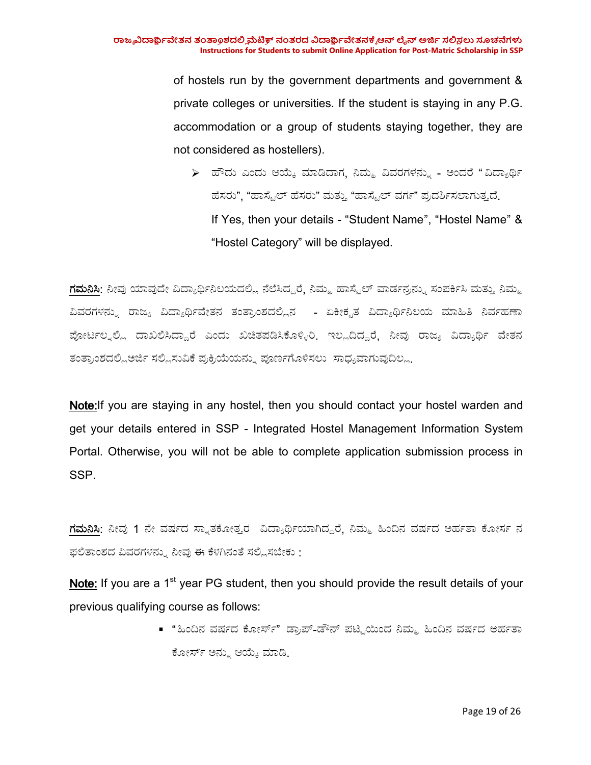of hostels run by the government departments and government & private colleges or universities. If the student is staying in any P.G. accommodation or a group of students staying together, they are not considered as hostellers).

 $\triangleright$  ಹೌದು ಎಂದು ಆಯ್ಕೆ ಮಾಡಿದಾಗ, ನಿಮ್ಮ ವಿವರಗಳನ್ನು - ಅಂದರೆ "ವಿದ್ಯಾರ್ಥಿ ಹೆಸರು", "ಹಾಸ್ಟೆಲ್ ಹೆಸರು" ಮತ್ತು "ಹಾಸ್ಟೆಲ್ ವರ್ಗ" ಪ್ರದರ್ಶಿಸಲಾಗುತ್ತದೆ. If Yes, then your details - "Student Name", "Hostel Name" & "Hostel Category" will be displayed.

<mark>ಗಮನಿಸಿ</mark>: ನೀವು ಯಾವುದೇ ವಿದ್ಯಾರ್ಥಿನಿಲಯದಲ್ಲಿ ನೆಲೆಸಿದ್ದರೆ, ನಿಮ್ಮ ಹಾಸ್ಟೆಲ್ ವಾರ್ಡನ್ರನ್ನು ಸಂಪರ್ಕಿಸಿ ಮತ್ತು ನಿಮ್ಮ ವಿವರಗಳನ್ನು ರಾಜ್ಯ ವಿದ್ಯಾರ್ಥಿವೇತನ ತಂತ್ರಾಂಶದಲ್ಲಿನ - ಏಕೀಕೃತ ವಿದ್ಯಾರ್ಥಿನಿಲಯ ಮಾಹಿತಿ ನಿರ್ವಹಣಾ ಪೋರ್ಟಲ್ನಲ್ಲಿ ದಾಖಲಿಸಿದ್ದಾರೆ ಎಂದು ಖಚಿತಪಡಿಸಿಕೊಳ್ಳಿರಿ. ಇಲ್ಲದಿದ್ದರೆ, ನೀವು ರಾಜ್ಯ ವಿದ್ಯಾರ್ಥಿ ವೇತನ ತಂತ್ರಾಂಶದಲ್ಲಿಅರ್ಜಿ ಸಲ್ಲಿಸುವಿಕೆ ಪ್ರಕ್ರಿಯೆಯನ್ನು ಪೂರ್ಣಗೊಳಿಸಲು ಸಾಧ್ಯವಾಗುವುದಿಲ್ಲ.

Note:If you are staying in any hostel, then you should contact your hostel warden and get your details entered in SSP - Integrated Hostel Management Information System Portal. Otherwise, you will not be able to complete application submission process in SSP.

<mark>ಗಮನಿಸಿ</mark>: ನೀವು 1 ನೇ ವರ್ಷದ ಸ್ನಾತಕೋತ್ತರ ವಿದ್ಯಾರ್ಥಿಯಾಗಿದ್ದರೆ, ನಿಮ್ಮ ಹಿಂದಿನ ವರ್ಷದ ಅರ್ಹತಾ ಕೋರ್ಸ ನ ಫಲಿತಾಂಶದ ವಿವರಗಳನ್ನು ನೀವು ಈ ಕೆಳಗಿನಂತೆ ಸಲ್ಲಿಸಬೇಕು :

**Note:** If you are a 1<sup>st</sup> year PG student, then you should provide the result details of your previous qualifying course as follows:

> ■ "ಹಿಂದಿನ ವರ್ಷದ ಕೋರ್ಸ್" ಡ್ರಾಪ್-ಡೌನ್ ಪಟ್ಟಿಯಿಂದ ನಿಮ್ಮ ಹಿಂದಿನ ವರ್ಷದ ಅರ್ಹತಾ ಕೋರ್ಸ್ ಅನ್ನು ಆಯ್ಕೆ ಮಾಡಿ.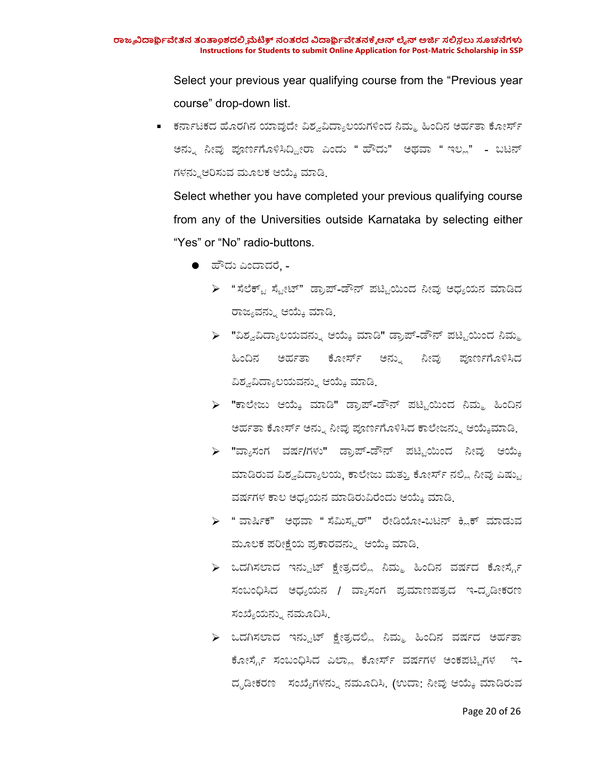Select your previous year qualifying course from the "Previous year course" drop-down list.

■ ಕರ್ನಾಟಕದ ಹೊರಗಿನ ಯಾವುದೇ ವಿಶ್ವವಿದ್ಯಾಲಯಗಳಿಂದ ನಿಮ್ಮ ಹಿಂದಿನ ಅರ್ಹತಾ ಕೋರ್ಸ್ ಅನ್ಸು ನೀವು ಪೂರ್ಣಗೊಳಿಸಿದ್ದೀರಾ ಎಂದು " ಹೌದು" ಅಥವಾ " ಇಲ್ಲ" - ಬಟನ್ ಗಳನ್ನುಆರಿಸುವ ಮೂಲಕ ಆಯ್ಕೆ ಮಾಡಿ

Select whether you have completed your previous qualifying course from any of the Universities outside Karnataka by selecting either "Yes" or "No" radio-buttons.

- $\bullet$  ಹೌದು ಎಂದಾದರೆ, -
	- $\triangleright$  "ಸೆಲೆಕ್ಟ್ ಸ್ಟೇಟ್" ಡ್ರಾಪ್-ಡೌನ್ ಪಟ್ಟಿಯಿಂದ ನೀವು ಅಧ್ಯಯನ ಮಾಡಿದ ರಾಜ್ಯವನ್ನು ಆಯ್ಕೆ ಮಾಡಿ
	- $\triangleright$  "ವಿಶ್ವವಿದ್ಯಾಲಯವನ್ನು ಆಯ್ಕೆ ಮಾಡಿ" ಡ್ರಾಪ್-ಡೌನ್ ಪಟ್ಟಿಯಿಂದ ನಿಮ್ಮ ಹಿಂದಿನ ಅರ್ಹತಾ ಕೋರ್ಸ್ ಅನ್ನು ನೀವು ಪೂರ್ಣಗೊಳಿಸಿದ ವಿಶ್ವವಿದ್ಯಾಲಯವನ್ನು ಆಯ್ಕೆ ಮಾಡಿ.
	- $\triangleright$  "ಕಾಲೇಜು ಆಯ್ಕೆ ಮಾಡಿ" ಡ್ರಾಪ್-ಡೌನ್ ಪಟ್ಟಿಯಿಂದ ನಿಮ್ಮ ಹಿಂದಿನ ಅರ್ಹತಾ ಕೋರ್ಸ್ ಅನ್ನು ನೀವು ಪೂರ್ಣಗೊಳಿಸಿದ ಕಾಲೇಜನ್ನು ಆಯ್ಕೆಮಾಡಿ.
	- $\triangleright$  "ವ್ಯಾಸಂಗ ವರ್ಷ/ಗಳು" ಡ್ರಾಪ್-ಡೌನ್ ಪಟ್ಟಿಯಿಂದ ನೀವು ಆಯ್ಕೆ ಮಾಡಿರುವ ವಿಶ್ವವಿದ್ಯಾಲಯ, ಕಾಲೇಜು ಮತ್ತು ಕೋರ್ಸ್ ನಲ್ಲಿ ನೀವು ಎಷ್ಟು ವರ್ಷಗಳ ಕಾಲ ಅಧ್ಯಯನ ಮಾಡಿರುವಿರೆಂದು ಆಯ್ಕೆ ಮಾಡಿ.
	- $\triangleright$  " ವಾರ್ಷಿಕ" ಅಥವಾ " ಸೆಮಿಸ್ಟರ್" ರೇಡಿಯೋ-ಬಟನ್ ಕ್ಲಿಕ್ ಮಾಡುವ ಮೂಲಕ ಪರೀಕ್ಷೆಯ ಪ್ರಕಾರವನ್ನು ಆಯ್ಕೆ ಮಾಡಿ.
	- $\triangleright$  ಒದಗಿಸಲಾದ ಇನ್ಪುಟ್ ಕ್ಷೇತ್ರದಲ್ಲಿ ನಿಮ್ಮ ಹಿಂದಿನ ವರ್ಷದ ಕೋರ್ಸ್ಗೆ ಸಂಬಂಧಿಸಿದ ಅಧ್ಯಯನ / ವ್ಯಾಸಂಗ ಪ್ರಮಾಣಪತ್ರದ ಇ-ದೃಡೀಕರಣ ಸಂಖ್ಯೆಯನ್ನು ನಮೂದಿಸಿ
	- $\triangleright$  ಒದಗಿಸಲಾದ ಇನ್ಪುಟ್ ಕ್ಷೇತ್ರದಲ್ಲಿ ನಿಮ್ಮ ಹಿಂದಿನ ವರ್ಷದ ಅರ್ಹತಾ ಕೋರ್ಸ್ಗೆ ಸಂಬಂಧಿಸಿದ ಎಲ್ಲಾ ಕೋರ್ಸ್ ವರ್ಷಗಳ ಅಂಕಪಟ್ಟಿಗಳ ಇ-ದೃಡೀಕರಣ ಸಂಖ್ಯೆಗಳನ್ನು ನಮೂದಿಸಿ<sub>.</sub> (ಉದಾ: ನೀವು ಆಯ್ಕೆ ಮಾಡಿರುವ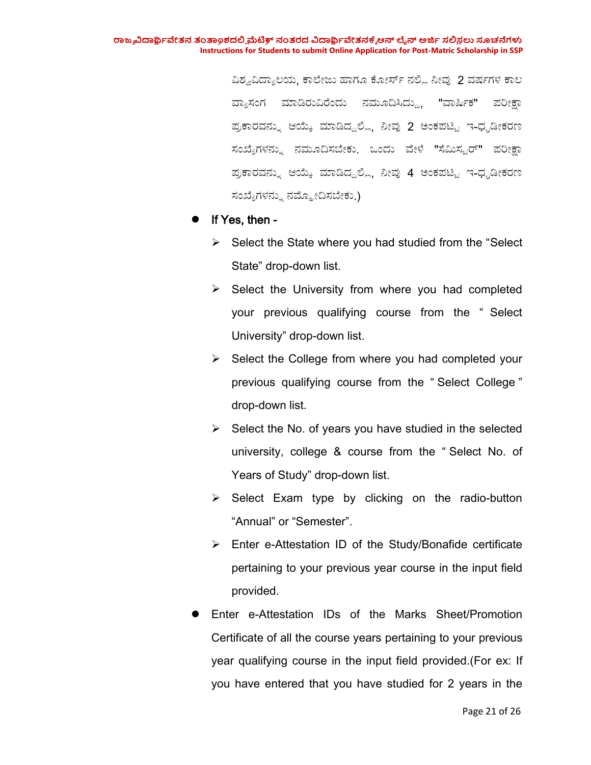ವಿಶ್ವವಿದ್ಯಾಲಯ, ಕಾಲೇಜು ಹಾಗೂ ಕೋರ್ಸ್ ನಲ್ಲಿ ನೀವು 2 ವರ್ಷಗಳ ಕಾಲ ವ್ಯಾಸಂಗ ಮಾಡಿರುವಿರೆಂದು ನಮೂದಿಸಿದ್ದು. "ವಾರ್ಷಿಕ" ಪರೀಕ್ಷಾ ಪ್ರಕಾರವನ್ನು ಆಯ್ಕೆ ಮಾಡಿದ್ದಲ್ಲಿ, ನೀವು 2 ಅಂಕಪಟ್ಟಿ ಇ-ಧೃಡೀಕರಣ ಸಂಖ್ಯೆಗಳನ್ನು ನಮೂದಿಸಬೇಕು. ಒಂದು ವೇಳೆ "ಸೆಮಿಸ್ಟರ್" ಪರೀಕ್ಷಾ ಪ್ರಕಾರವನ್ನು ಆಯ್ಕೆ ಮಾಡಿದ್ದಲ್ಲಿ, ನೀವು 4 ಅಂಕಪಟ್ಟಿ ಇ-ಧೃಡೀಕರಣ ಸಂಖ್ಯೆಗಳನ್ನು ನಮ್ಮೋದಿಸಬೇಕು.)

### If Yes, then -

- $\triangleright$  Select the State where you had studied from the "Select" State" drop-down list.
- $\triangleright$  Select the University from where you had completed your previous qualifying course from the " Select University" drop-down list.
- $\triangleright$  Select the College from where you had completed your previous qualifying course from the " Select College " drop-down list.
- $\triangleright$  Select the No. of years you have studied in the selected university, college & course from the " Select No. of Years of Study" drop-down list.
- $\triangleright$  Select Exam type by clicking on the radio-button "Annual" or "Semester".
- $\triangleright$  Enter e-Attestation ID of the Study/Bonafide certificate pertaining to your previous year course in the input field provided.
- Enter e-Attestation IDs of the Marks Sheet/Promotion Certificate of all the course years pertaining to your previous year qualifying course in the input field provided.(For ex: If you have entered that you have studied for 2 years in the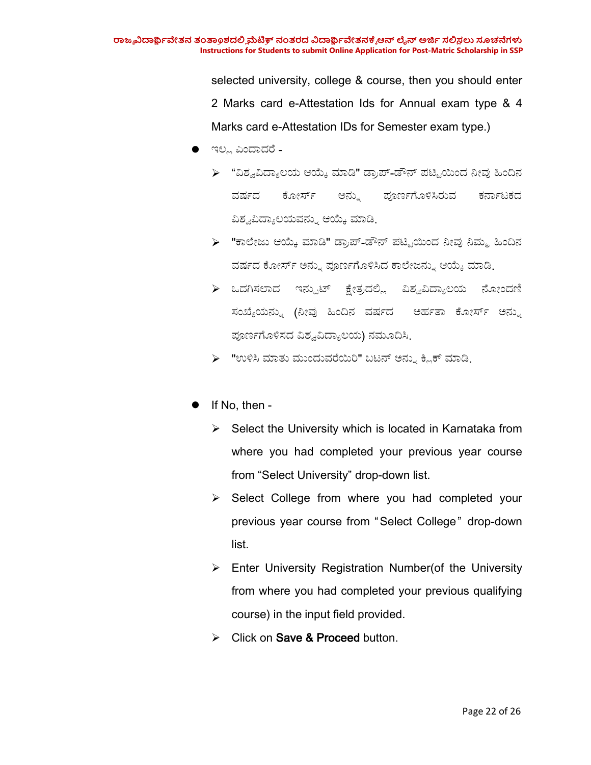selected university, college & course, then you should enter 2 Marks card e-Attestation Ids for Annual exam type & 4 Marks card e-Attestation IDs for Semester exam type.)

- $\bullet$  ಇಲ್ಲ ಎಂದಾದರೆ -
	- ➢ "ವಿಶ್ವವಿದ್ಯಾಲಯ ಆಯ್ಕೆ ಮಾಡಿ" ಡ್ರಾಪ್-ಡೌನ್ ಪಟ್ಟಿಯಿಂದ ನೀವು ಹಿಂದಿನ ವರ್ಷದ ಕೋರ್ಸ್ ಅನ್ನು ಪೂರ್ಣಗೊಳಿಸಿರುವ ಕರ್ನಾಟಕದ ವಿಶ್ವವಿದ್ಯಾಲಯವನ್ನು ಆಯ್ಕೆ ಮಾಡಿ.
	- ➢ "ಕಾಲೇಜು ಆಯ್ಕೆ ಮಾಡಿ" ಡ್ರಾಪ್-ಡೌನ್ ಪಟ್ಟಿಯಿಂದ ನೀವು ನಿಮ್ಮ ಹಿಂದಿನ ವರ್ಷದ ಕೋರ್ಸ್ ಅನ್ನು ಪೂರ್ಣಗೊಳಿಸಿದ ಕಾಲೇಜನ್ನು ಆಯ್ಕೆ ಮಾಡಿ.
	- $\triangleright$  ಒದಗಿಸಲಾದ ಇನ್ಪುಟ್ ಕ್ಷೇತ್ರದಲ್ಲಿ ವಿಶ್ವವಿದ್ಯಾಲಯ ನೋಂದಣಿ ಸಂಖ್ಯೆಯನ್ನು (ನೀವು ಹಿಂದಿನ ವರ್ಷದ ಅರ್ಹತಾ ಕೋರ್ಸ್ ಅನ್ನು ಪೂರ್ಣಗೊಳಿಸದ ವಿಶ್ವವಿದ್ಯಾಲಯ) ನಮೂದಿಸಿ.
	- $\triangleright$  "ಉಳಿಸಿ ಮಾತು ಮುಂದುವರೆಯಿರಿ" ಬಟನ್ ಅನ್ನು ಕ್ಲಿಕ್ ಮಾಡಿ.
- If No, then
	- $\triangleright$  Select the University which is located in Karnataka from where you had completed your previous year course from "Select University" drop-down list.
	- $\triangleright$  Select College from where you had completed your previous year course from "Select College" drop-down list.
	- $\triangleright$  Enter University Registration Number(of the University from where you had completed your previous qualifying course) in the input field provided.
	- $\triangleright$  Click on Save & Proceed button.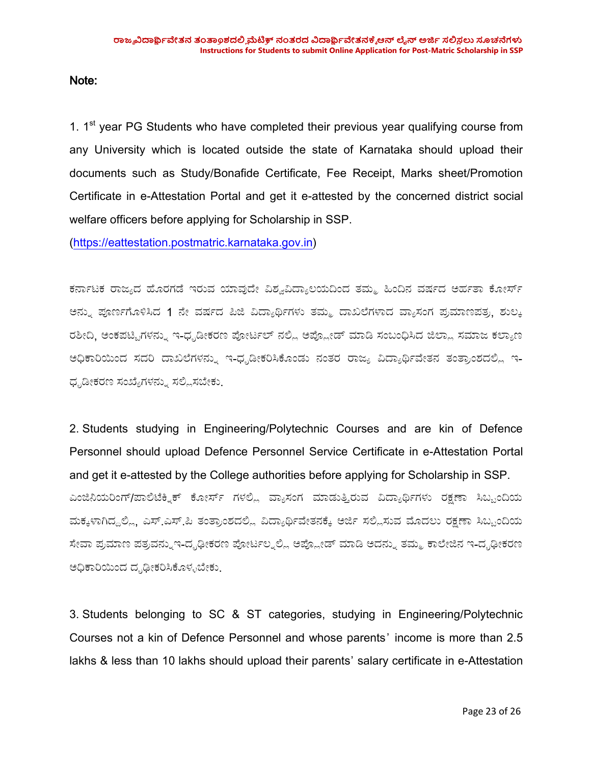Note:

1. 1<sup>st</sup> year PG Students who have completed their previous year qualifying course from any University which is located outside the state of Karnataka should upload their documents such as Study/Bonafide Certificate, Fee Receipt, Marks sheet/Promotion Certificate in e-Attestation Portal and get it e-attested by the concerned district social welfare officers before applying for Scholarship in SSP.

(<https://eattestation.postmatric.karnataka.gov.in>)

ಕರ್ನಾಟಕ ರಾಜ್ಯದ ಹೊರಗಡೆ ಇರುವ ಯಾವುದೇ ವಿಶ್ವವಿದ್ಯಾಲಯದಿಂದ ತಮ್ಮ ಹಿಂದಿನ ವರ್ಷದ ಅರ್ಹತಾ ಕೋರ್ಸ್ ಅನ್ನು ಪೂರ್ಣಗೊಳಿಸಿದ 1 ನೇ ವರ್ಷದ ಪಿಜಿ ವಿದ್ಯಾರ್ಥಿಗಳು ತಮ್ಮ ದಾಖಲೆಗಳಾದ ವ್ಯಾಸಂಗ ಪ್ರಮಾಣಪತ್ರ, ಶುಲ್ಕ ರಶೀದಿ, ಅಂಕಪಟ್ಟಿಗಳನ್ನು ಇ-ಧೃಡೀಕರಣ ಪೋರ್ಟಲ್ ನಲ್ಲಿ ಅಪ್ಲೋಡ್ ಮಾಡಿ ಸಂಬಂಧಿಸಿದ ಜಿಲ್ಲಾ ಸಮಾಜ ಕಲ್ಯಾಣ ಅಧಿಕಾರಿಯಿಂದ ಸದರಿ ದಾಖಲೆಗಳನ್ನು ಇ-ಧೃಡೀಕರಿಸಿಕೊಂಡು ನಂತರ ರಾಜ್ಯ ವಿದ್ಯಾರ್ಥಿವೇತನ ತಂತ್ರಾಂಶದಲ್ಲಿ ಇ-ಧೃಡೀಕರಣ ಸಂಖ್ಯೆಗಳನ್ನು ಸಲ್ಲಿಸಬೇಕು.

2. Students studying in Engineering/Polytechnic Courses and are kin of Defence Personnel should upload Defence Personnel Service Certificate in e-Attestation Portal and get it e-attested by the College authorities before applying for Scholarship in SSP. ಎಂಜಿನಿಯರಿಂಗ್/ಪಾಲಿಟೆಕ್ನಿಕ್ ಕೋರ್ಸ್ ಗಳಲ್ಲಿ ವ್ಯಾಸಂಗ ಮಾಡುತ್ತಿರುವ ವಿದ್ಯಾರ್ಥಿಗಳು ರಕ್ಷಣಾ ಸಿಬ್ಬಂದಿಯ ಮಕ್ಕಳಾಗಿದ್ದಲ್ಲಿ. ಎಸ್.ಎಸ್.ಪಿ ತಂತ್ರಾಂಶದಲ್ಲಿ ವಿದ್ಯಾರ್ಥಿವೇತನಕ್ಕೆ ಅರ್ಜಿ ಸಲ್ಲಿಸುವ ಮೊದಲು ರಕ್ಷಣಾ ಸಿಬ್ಬಂದಿಯ ಸೇವಾ ಪ್ರಮಾಣ ಪತ್ರವನ್ನುಇ-ದೃಢೀಕರಣ ಪೋರ್ಟಲ್ನಲ್ಲಿ ಅಪ್ಲೋಡ್ ಮಾಡಿ ಅದನ್ನು ತಮ್ಮ ಕಾಲೇಜಿನ ಇ-ದೃಢೀಕರಣ ಅಧಿಕಾರಿಯಿಂದ ದೃಢೀಕರಿಸಿಕೊಳ್ಳಬೇಕು.

3. Students belonging to SC & ST categories, studying in Engineering/Polytechnic Courses not a kin of Defence Personnel and whose parents' income is more than 2.5 lakhs & less than 10 lakhs should upload their parents' salary certificate in e-Attestation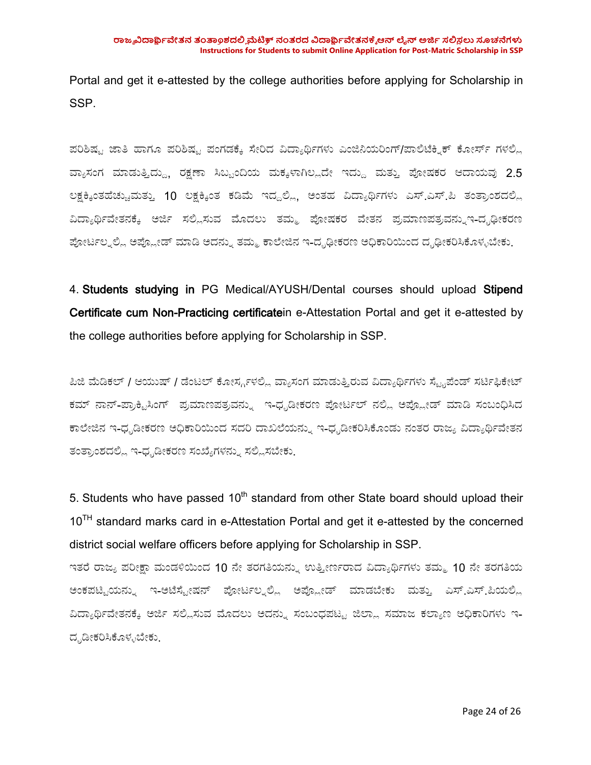Portal and get it e-attested by the college authorities before applying for Scholarship in SSP.

ಪರಿಶಿಷ್ಟ ಜಾತಿ ಹಾಗೂ ಪರಿಶಿಷ್ಟ ಪಂಗಡಕ್ಕೆ ಸೇರಿದ ವಿದ್ಯಾರ್ಥಿಗಳು ಎಂಜಿನಿಯರಿಂಗ್/ಪಾಲಿಟೆಕ್ಸಿಕ್ ಕೋರ್ಸ್ ಗಳಲ್ಲಿ ವ್ಯಾಸಂಗ ಮಾಡುತ್ತಿದ್ದು, ರಕ್ಷಣಾ ಸಿಬ್ಬಂದಿಯ ಮಕ್ಕಳಾಗಿಲ್ಲದೇ ಇದ್ದು ಮತ್ತು ಪೋಷಕರ ಆದಾಯವು 2.5 ಲಕ್ಷಕ್ಕಿಂತಹೆಚ್ಚುಮತ್ತು 10 ಲಕ್ಷಕ್ಕಿಂತ ಕಡಿಮೆ ಇದ್ದಲ್ಲಿ, ಅಂತಹ ವಿದ್ಯಾರ್ಥಿಗಳು ಎಸ್.ಎಸ್.ಪಿ ತಂತ್ರಾಂಶದಲ್ಲಿ ವಿದ್ಯಾರ್ಥಿವೇತನಕ್ಕೆ ಅರ್ಜಿ ಸಲ್ಲಿಸುವ ಮೊದಲು ತಮ್ಮ ಪೋಷಕರ ವೇತನ ಪ್ರಮಾಣಪತ್ರವನ್ನುಇ-ದೃಢೀಕರಣ ಪೋರ್ಟಲ್ನಲ್ಲಿ ಅಪ್ಲೋಡ್ ಮಾಡಿ ಅದನ್ನು ತಮ್ಮ ಕಾಲೇಜಿನ ಇ-ದೃಢೀಕರಣ ಅಧಿಕಾರಿಯಿಂದ ದೃಢೀಕರಿಸಿಕೊಳ್ಳಬೇಕು.

4. Students studying in PG Medical/AYUSH/Dental courses should upload Stipend Certificate cum Non-Practicing certificatein e-Attestation Portal and get it e-attested by the college authorities before applying for Scholarship in SSP.

ಪಿಜಿ ಮೆಡಿಕಲ್ / ಆಯುಷ್ / ಡೆಂಟಲ್ ಕೋರ್ಸ್ಗಳಲ್ಲಿ ವ್ಯಾಸಂಗ ಮಾಡುತ್ತಿರುವ ವಿದ್ಯಾರ್ಥಿಗಳು ಸ್ಟೈಪೆಂಡ್ ಸರ್ಟಿಫಿಕೇಟ್ ಕಮ್ ನಾನ್-ಪ್ರಾಕ್ಟಿಸಿಂಗ್ ಪ್ರಮಾಣಪತ್ರವನ್ನು ಇ-ಧೃಡೀಕರಣ ಪೋರ್ಟಲ್ ನಲ್ಲಿ ಅಪ್ಲೋಡ್ ಮಾಡಿ ಸಂಬಂಧಿಸಿದ ಕಾಲೇಜಿನ ಇ-ಧೃಡೀಕರಣ ಅಧಿಕಾರಿಯಿಂದ ಸದರಿ ದಾಖಲೆಯನ್ನು ಇ-ಧೃಡೀಕರಿಸಿಕೊಂಡು ನಂತರ ರಾಜ್ಯ ವಿದ್ಯಾರ್ಥಿವೇತನ ತಂತ್ರಾಂಶದಲ್ಲಿ ಇ-ಧೃಡೀಕರಣ ಸಂಖ್ಯೆಗಳನ್ನು ಸಲ್ಲಿಸಬೇಕು.

5. Students who have passed 10<sup>th</sup> standard from other State board should upload their 10<sup>TH</sup> standard marks card in e-Attestation Portal and get it e-attested by the concerned district social welfare officers before applying for Scholarship in SSP.

ಇತರೆ ರಾಜ್ಯ ಪರೀಕ್ಷಾ ಮಂಡಳಿಯಿಂದ 10 ನೇ ತರಗತಿಯನ್ನು ಉತ್ತೀರ್ಣರಾದ ವಿದ್ಯಾರ್ಥಿಗಳು ತಮ್ಮ 10 ನೇ ತರಗತಿಯ ಅಂಕಪಟ್ಟಿಯನ್ನು ಇ-ಅಟೆಸ್ಟೇಷನ್ ಪೋರ್ಟಲ್ನಲ್ಲಿ ಅಪ್ಲೋಡ್ ಮಾಡಬೇಕು ಮತ್ತು ಎಸ್.ಎಸ್.ಪಿಯಲ್ಲಿ ವಿದ್ಯಾರ್ಥಿವೇತನಕ್ಕೆ ಅರ್ಜಿ ಸಲ್ಲಿಸುವ ಮೊದಲು ಅದನ್ನು ಸಂಬಂಧಪಟ್ಟ ಜಿಲ್ಲಾ ಸಮಾಜ ಕಲ್ಯಾಣ ಅಧಿಕಾರಿಗಳು ಇ-ದೃಡೀಕರಿಸಿಕೊಳ್ಳಬೇಕು.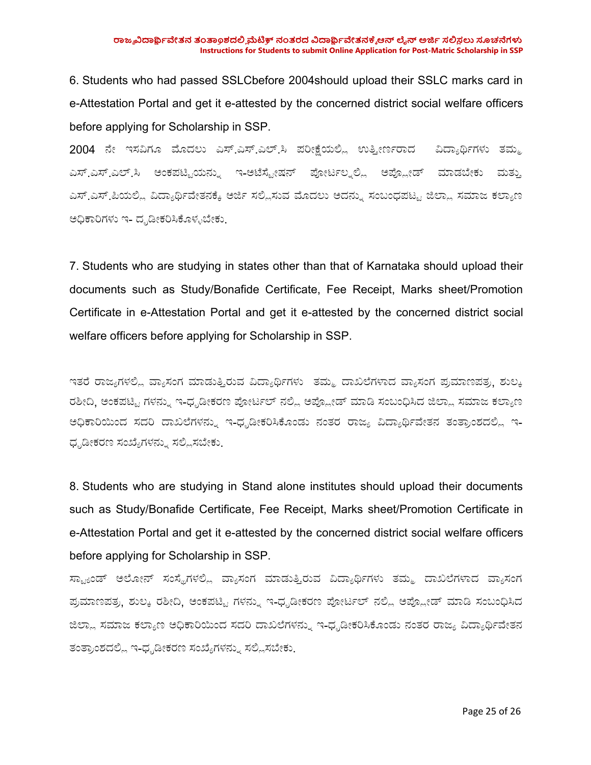6. Students who had passed SSLCbefore 2004should upload their SSLC marks card in e-Attestation Portal and get it e-attested by the concerned district social welfare officers before applying for Scholarship in SSP.

2004 ನೇ ಇಸವಿಗೂ ಮೊದಲು ಎಸ್.ಎಸ್.ಎಲ್.ಸಿ ಪರೀಕ್ಷೆಯಲ್ಲಿ ಉತ್ತೀರ್ಣರಾದ ವಿದ್ಯಾರ್ಥಿಗಳು ತಮ್ಮ ಎಸ್.ಎಸ್.ಎಲ್.ಸಿ ಅಂಕಪಟ್ಟಿಯನ್ನು ಇ-ಅಟೆಸ್ಟೇಷನ್ ಪೋರ್ಟಲ್ನಲ್ಲಿ ಅಪ್ಲೋಡ್ ಮಾಡಬೇಕು ಮತ್ತು ಎಸ್.ಎಸ್.ಪಿಯಲ್ಲಿ ವಿದ್ಯಾರ್ಥಿವೇತನಕ್ಕೆ ಅರ್ಜಿ ಸಲ್ಲಿಸುವ ಮೊದಲು ಅದನ್ನು ಸಂಬಂಧಪಟ್ಟ ಜಿಲ್ಲಾ ಸಮಾಜ ಕಲ್ಯಾಣ ಅಧಿಕಾರಿಗಳು ಇ- ದೃಡೀಕರಿಸಿಕೊಳ್ಳಬೇಕು.

7. Students who are studying in states other than that of Karnataka should upload their documents such as Study/Bonafide Certificate, Fee Receipt, Marks sheet/Promotion Certificate in e-Attestation Portal and get it e-attested by the concerned district social welfare officers before applying for Scholarship in SSP.

ಇತರೆ ರಾಜ್ಯಗಳಲ್ಲಿ ವ್ಯಾಸಂಗ ಮಾಡುತ್ತಿರುವ ವಿದ್ಯಾರ್ಥಿಗಳು ತಮ್ಮ ದಾಖಲೆಗಳಾದ ವ್ಯಾಸಂಗ ಪ್ರಮಾಣಪತ್ರ, ಶುಲ್ಕ ರಶೀದಿ, ಅಂಕಪಟ್ಟಿ ಗಳನ್ನು ಇ-ಧೃಡೀಕರಣ ಪೋರ್ಟಲ್ ನಲ್ಲಿ ಅಪ್ಲೋಡ್ ಮಾಡಿ ಸಂಬಂಧಿಸಿದ ಜಿಲ್ಲಾ ಸಮಾಜ ಕಲ್ಯಾಣ ಅಧಿಕಾರಿಯಿಂದ ಸದರಿ ದಾಖಲೆಗಳನ್ನು ಇ-ಧೃಡೀಕರಿಸಿಕೊಂಡು ನಂತರ ರಾಜ್ಯ ವಿದ್ಯಾರ್ಥಿವೇತನ ತಂತ್ರಾಂಶದಲ್ಲಿ ಇ-ಧೃಡೀಕರಣ ಸಂಖ್ಯೆಗಳನ್ನು ಸಲ್ಲಿಸಬೇಕು.

8. Students who are studying in Stand alone institutes should upload their documents such as Study/Bonafide Certificate, Fee Receipt, Marks sheet/Promotion Certificate in e-Attestation Portal and get it e-attested by the concerned district social welfare officers before applying for Scholarship in SSP.

ಸ್ಟ್ಯಾಂಡ್ ಅಲೋನ್ ಸಂಸ್ಥೆಗಳಲ್ಲಿ ವ್ಯಾಸಂಗ ಮಾಡುತ್ತಿರುವ ವಿದ್ಯಾರ್ಥಿಗಳು ತಮ್ಮ ದಾಖಲೆಗಳಾದ ವ್ಯಾಸಂಗ ಪ್ರಮಾಣಪತ್ರ, ಶುಲ್ಕ ರಶೀದಿ, ಅಂಕಪಟ್ಟಿ ಗಳನ್ನು ಇ-ಧೃಡೀಕರಣ ಪೋರ್ಟಲ್ ನಲ್ಲಿ ಅಪ್ಲೋಡ್ ಮಾಡಿ ಸಂಬಂಧಿಸಿದ ಜಿಲ್ಲಾ ಸಮಾಜ ಕಲ್ಯಾಣ ಅಧಿಕಾರಿಯಿಂದ ಸದರಿ ದಾಖಲೆಗಳನ್ನು ಇ-ಧೃಡೀಕರಿಸಿಕೊಂಡು ನಂತರ ರಾಜ್ಯ ವಿದ್ಯಾರ್ಥಿವೇತನ ತಂತ್ರಾಂಶದಲ್ಲಿ ಇ-ಧೃಡೀಕರಣ ಸಂಖ್ಯೆಗಳನ್ನು ಸಲ್ಲಿಸಬೇಕು.